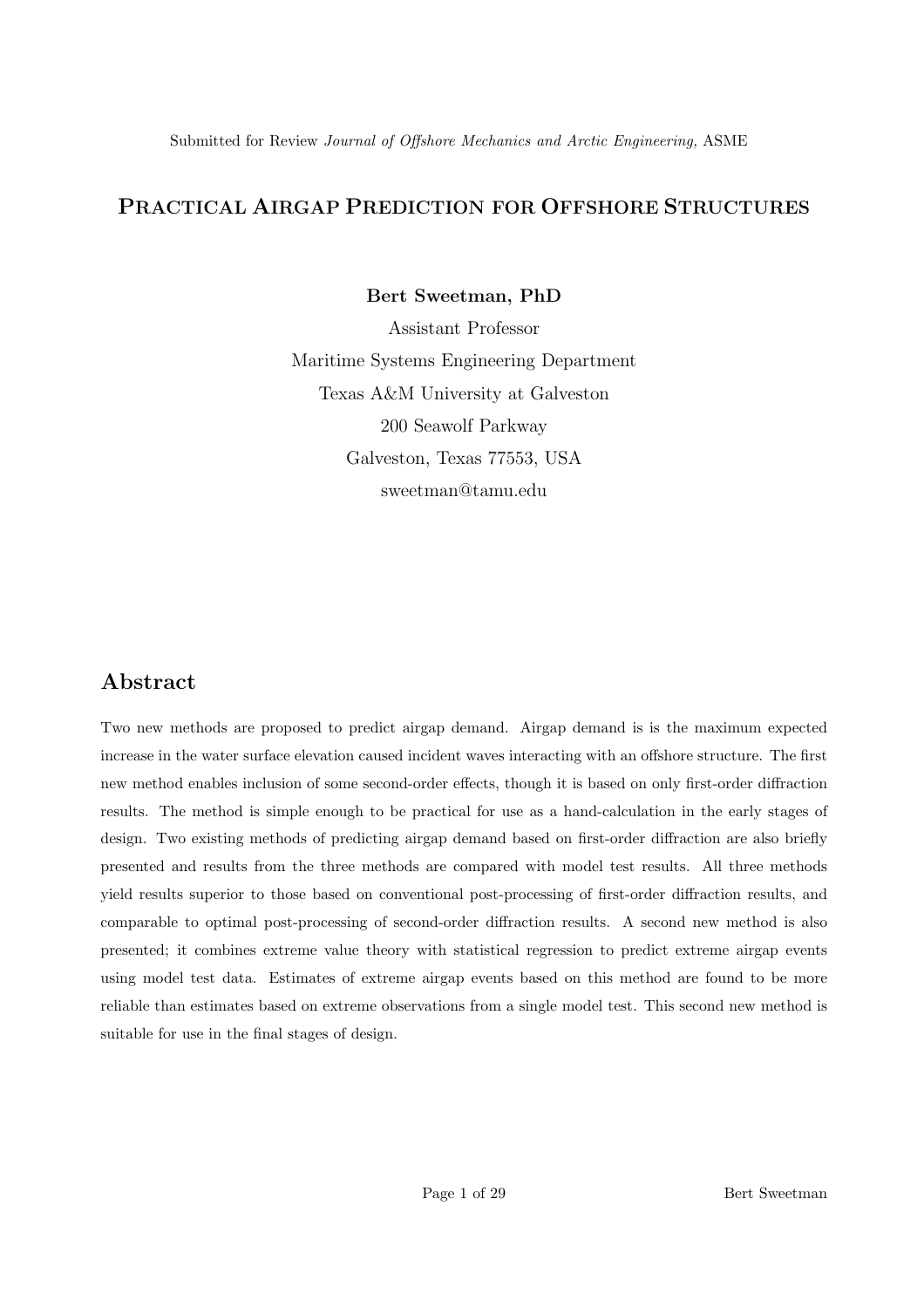### PRACTICAL AIRGAP PREDICTION FOR OFFSHORE STRUCTURES

Bert Sweetman, PhD

Assistant Professor Maritime Systems Engineering Department Texas A&M University at Galveston 200 Seawolf Parkway Galveston, Texas 77553, USA sweetman@tamu.edu

# Abstract

Two new methods are proposed to predict airgap demand. Airgap demand is is the maximum expected increase in the water surface elevation caused incident waves interacting with an offshore structure. The first new method enables inclusion of some second-order effects, though it is based on only first-order diffraction results. The method is simple enough to be practical for use as a hand-calculation in the early stages of design. Two existing methods of predicting airgap demand based on first-order diffraction are also briefly presented and results from the three methods are compared with model test results. All three methods yield results superior to those based on conventional post-processing of first-order diffraction results, and comparable to optimal post-processing of second-order diffraction results. A second new method is also presented; it combines extreme value theory with statistical regression to predict extreme airgap events using model test data. Estimates of extreme airgap events based on this method are found to be more reliable than estimates based on extreme observations from a single model test. This second new method is suitable for use in the final stages of design.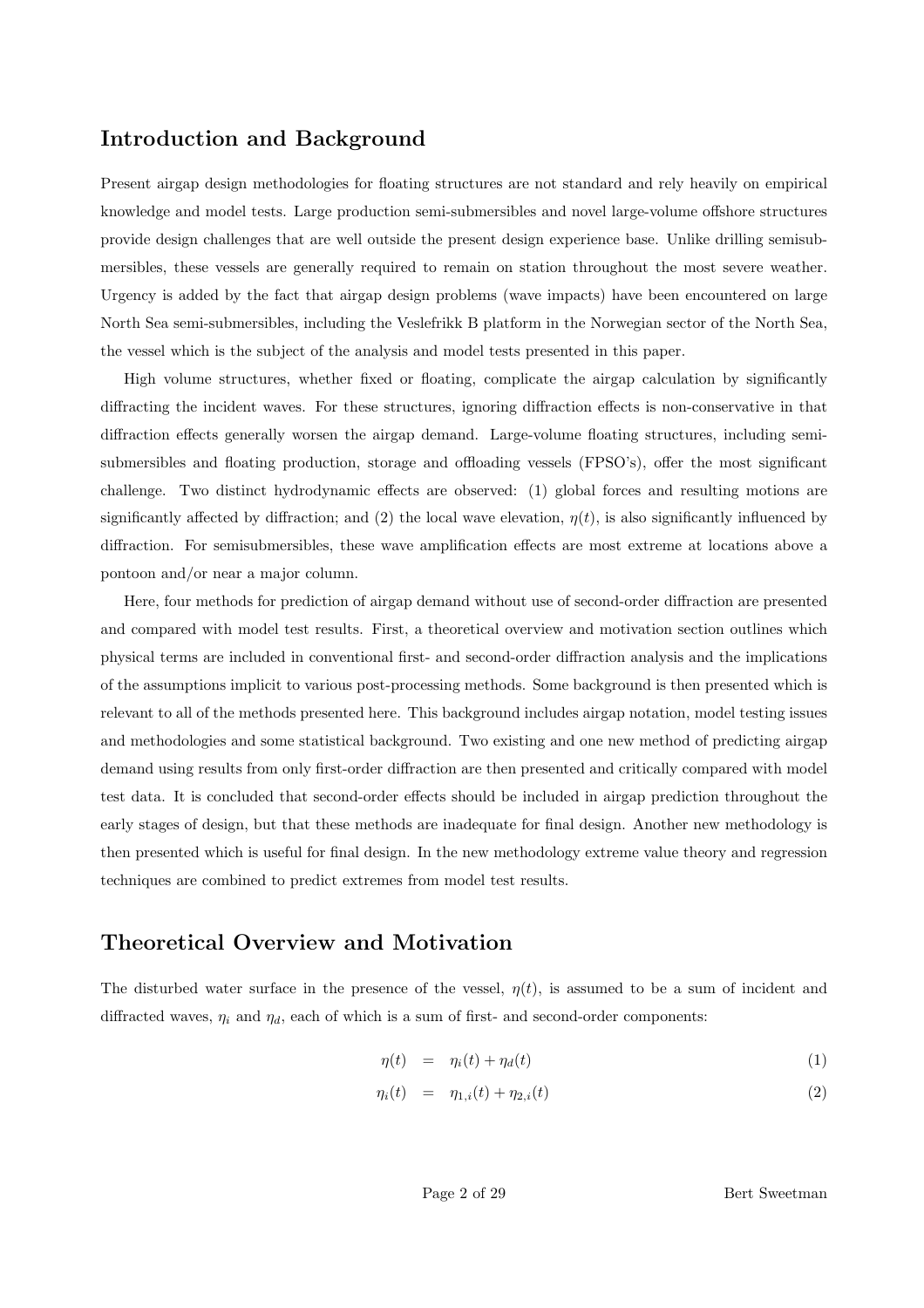# Introduction and Background

Present airgap design methodologies for floating structures are not standard and rely heavily on empirical knowledge and model tests. Large production semi-submersibles and novel large-volume offshore structures provide design challenges that are well outside the present design experience base. Unlike drilling semisubmersibles, these vessels are generally required to remain on station throughout the most severe weather. Urgency is added by the fact that airgap design problems (wave impacts) have been encountered on large North Sea semi-submersibles, including the Veslefrikk B platform in the Norwegian sector of the North Sea, the vessel which is the subject of the analysis and model tests presented in this paper.

High volume structures, whether fixed or floating, complicate the airgap calculation by significantly diffracting the incident waves. For these structures, ignoring diffraction effects is non-conservative in that diffraction effects generally worsen the airgap demand. Large-volume floating structures, including semisubmersibles and floating production, storage and offloading vessels (FPSO's), offer the most significant challenge. Two distinct hydrodynamic effects are observed: (1) global forces and resulting motions are significantly affected by diffraction; and (2) the local wave elevation,  $\eta(t)$ , is also significantly influenced by diffraction. For semisubmersibles, these wave amplification effects are most extreme at locations above a pontoon and/or near a major column.

Here, four methods for prediction of airgap demand without use of second-order diffraction are presented and compared with model test results. First, a theoretical overview and motivation section outlines which physical terms are included in conventional first- and second-order diffraction analysis and the implications of the assumptions implicit to various post-processing methods. Some background is then presented which is relevant to all of the methods presented here. This background includes airgap notation, model testing issues and methodologies and some statistical background. Two existing and one new method of predicting airgap demand using results from only first-order diffraction are then presented and critically compared with model test data. It is concluded that second-order effects should be included in airgap prediction throughout the early stages of design, but that these methods are inadequate for final design. Another new methodology is then presented which is useful for final design. In the new methodology extreme value theory and regression techniques are combined to predict extremes from model test results.

# Theoretical Overview and Motivation

The disturbed water surface in the presence of the vessel,  $\eta(t)$ , is assumed to be a sum of incident and diffracted waves,  $\eta_i$  and  $\eta_d$ , each of which is a sum of first- and second-order components:

$$
\eta(t) = \eta_i(t) + \eta_d(t) \tag{1}
$$

$$
\eta_i(t) = \eta_{1,i}(t) + \eta_{2,i}(t) \tag{2}
$$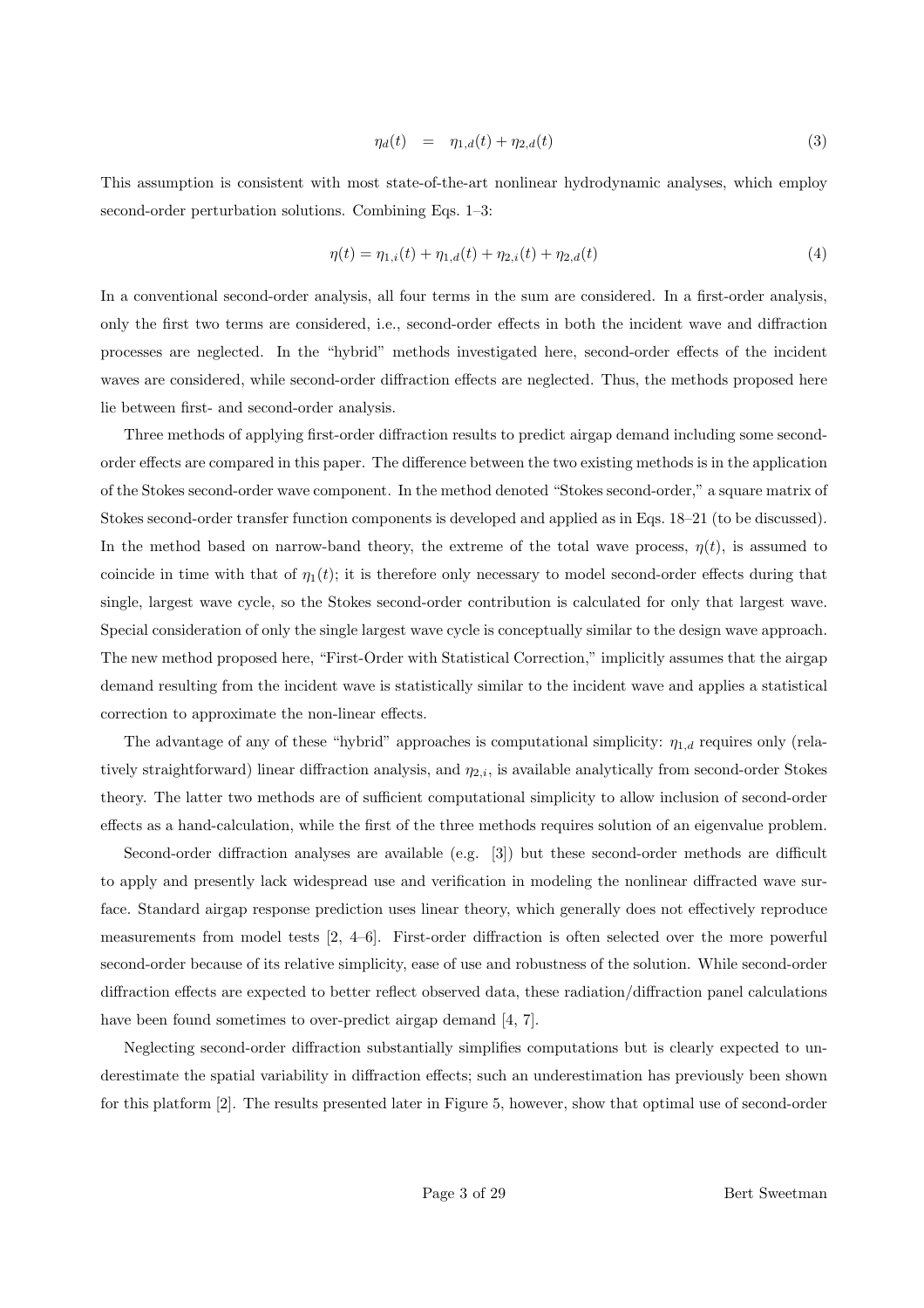$$
\eta_d(t) = \eta_{1,d}(t) + \eta_{2,d}(t) \tag{3}
$$

This assumption is consistent with most state-of-the-art nonlinear hydrodynamic analyses, which employ second-order perturbation solutions. Combining Eqs. 1–3:

$$
\eta(t) = \eta_{1,i}(t) + \eta_{1,d}(t) + \eta_{2,i}(t) + \eta_{2,d}(t)
$$
\n(4)

In a conventional second-order analysis, all four terms in the sum are considered. In a first-order analysis, only the first two terms are considered, i.e., second-order effects in both the incident wave and diffraction processes are neglected. In the "hybrid" methods investigated here, second-order effects of the incident waves are considered, while second-order diffraction effects are neglected. Thus, the methods proposed here lie between first- and second-order analysis.

Three methods of applying first-order diffraction results to predict airgap demand including some secondorder effects are compared in this paper. The difference between the two existing methods is in the application of the Stokes second-order wave component. In the method denoted "Stokes second-order," a square matrix of Stokes second-order transfer function components is developed and applied as in Eqs. 18–21 (to be discussed). In the method based on narrow-band theory, the extreme of the total wave process,  $\eta(t)$ , is assumed to coincide in time with that of  $\eta_1(t)$ ; it is therefore only necessary to model second-order effects during that single, largest wave cycle, so the Stokes second-order contribution is calculated for only that largest wave. Special consideration of only the single largest wave cycle is conceptually similar to the design wave approach. The new method proposed here, "First-Order with Statistical Correction," implicitly assumes that the airgap demand resulting from the incident wave is statistically similar to the incident wave and applies a statistical correction to approximate the non-linear effects.

The advantage of any of these "hybrid" approaches is computational simplicity:  $\eta_{1,d}$  requires only (relatively straightforward) linear diffraction analysis, and  $\eta_{2,i}$ , is available analytically from second-order Stokes theory. The latter two methods are of sufficient computational simplicity to allow inclusion of second-order effects as a hand-calculation, while the first of the three methods requires solution of an eigenvalue problem.

Second-order diffraction analyses are available (e.g. [3]) but these second-order methods are difficult to apply and presently lack widespread use and verification in modeling the nonlinear diffracted wave surface. Standard airgap response prediction uses linear theory, which generally does not effectively reproduce measurements from model tests [2, 4–6]. First-order diffraction is often selected over the more powerful second-order because of its relative simplicity, ease of use and robustness of the solution. While second-order diffraction effects are expected to better reflect observed data, these radiation/diffraction panel calculations have been found sometimes to over-predict airgap demand [4, 7].

Neglecting second-order diffraction substantially simplifies computations but is clearly expected to underestimate the spatial variability in diffraction effects; such an underestimation has previously been shown for this platform [2]. The results presented later in Figure 5, however, show that optimal use of second-order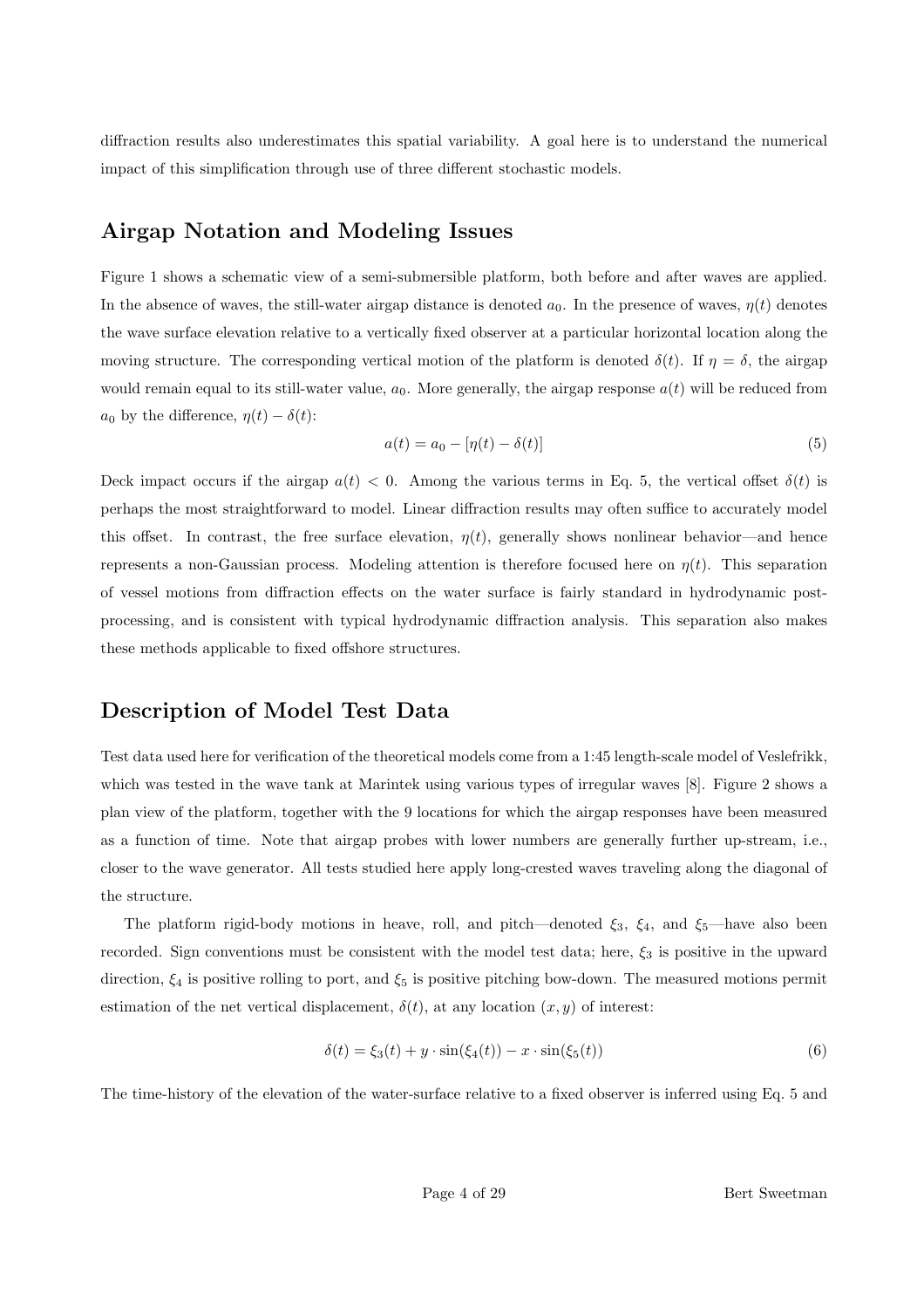diffraction results also underestimates this spatial variability. A goal here is to understand the numerical impact of this simplification through use of three different stochastic models.

# Airgap Notation and Modeling Issues

Figure 1 shows a schematic view of a semi-submersible platform, both before and after waves are applied. In the absence of waves, the still-water airgap distance is denoted  $a_0$ . In the presence of waves,  $\eta(t)$  denotes the wave surface elevation relative to a vertically fixed observer at a particular horizontal location along the moving structure. The corresponding vertical motion of the platform is denoted  $\delta(t)$ . If  $\eta = \delta$ , the airgap would remain equal to its still-water value,  $a_0$ . More generally, the airgap response  $a(t)$  will be reduced from  $a_0$  by the difference,  $\eta(t) - \delta(t)$ :

$$
a(t) = a_0 - [\eta(t) - \delta(t)]
$$
 (5)

Deck impact occurs if the airgap  $a(t) < 0$ . Among the various terms in Eq. 5, the vertical offset  $\delta(t)$  is perhaps the most straightforward to model. Linear diffraction results may often suffice to accurately model this offset. In contrast, the free surface elevation,  $\eta(t)$ , generally shows nonlinear behavior—and hence represents a non-Gaussian process. Modeling attention is therefore focused here on  $\eta(t)$ . This separation of vessel motions from diffraction effects on the water surface is fairly standard in hydrodynamic postprocessing, and is consistent with typical hydrodynamic diffraction analysis. This separation also makes these methods applicable to fixed offshore structures.

# Description of Model Test Data

Test data used here for verification of the theoretical models come from a 1:45 length-scale model of Veslefrikk, which was tested in the wave tank at Marintek using various types of irregular waves [8]. Figure 2 shows a plan view of the platform, together with the 9 locations for which the airgap responses have been measured as a function of time. Note that airgap probes with lower numbers are generally further up-stream, i.e., closer to the wave generator. All tests studied here apply long-crested waves traveling along the diagonal of the structure.

The platform rigid-body motions in heave, roll, and pitch—denoted  $\xi_3$ ,  $\xi_4$ , and  $\xi_5$ —have also been recorded. Sign conventions must be consistent with the model test data; here,  $\xi_3$  is positive in the upward direction,  $\xi_4$  is positive rolling to port, and  $\xi_5$  is positive pitching bow-down. The measured motions permit estimation of the net vertical displacement,  $\delta(t)$ , at any location  $(x, y)$  of interest:

$$
\delta(t) = \xi_3(t) + y \cdot \sin(\xi_4(t)) - x \cdot \sin(\xi_5(t))
$$
\n(6)

The time-history of the elevation of the water-surface relative to a fixed observer is inferred using Eq. 5 and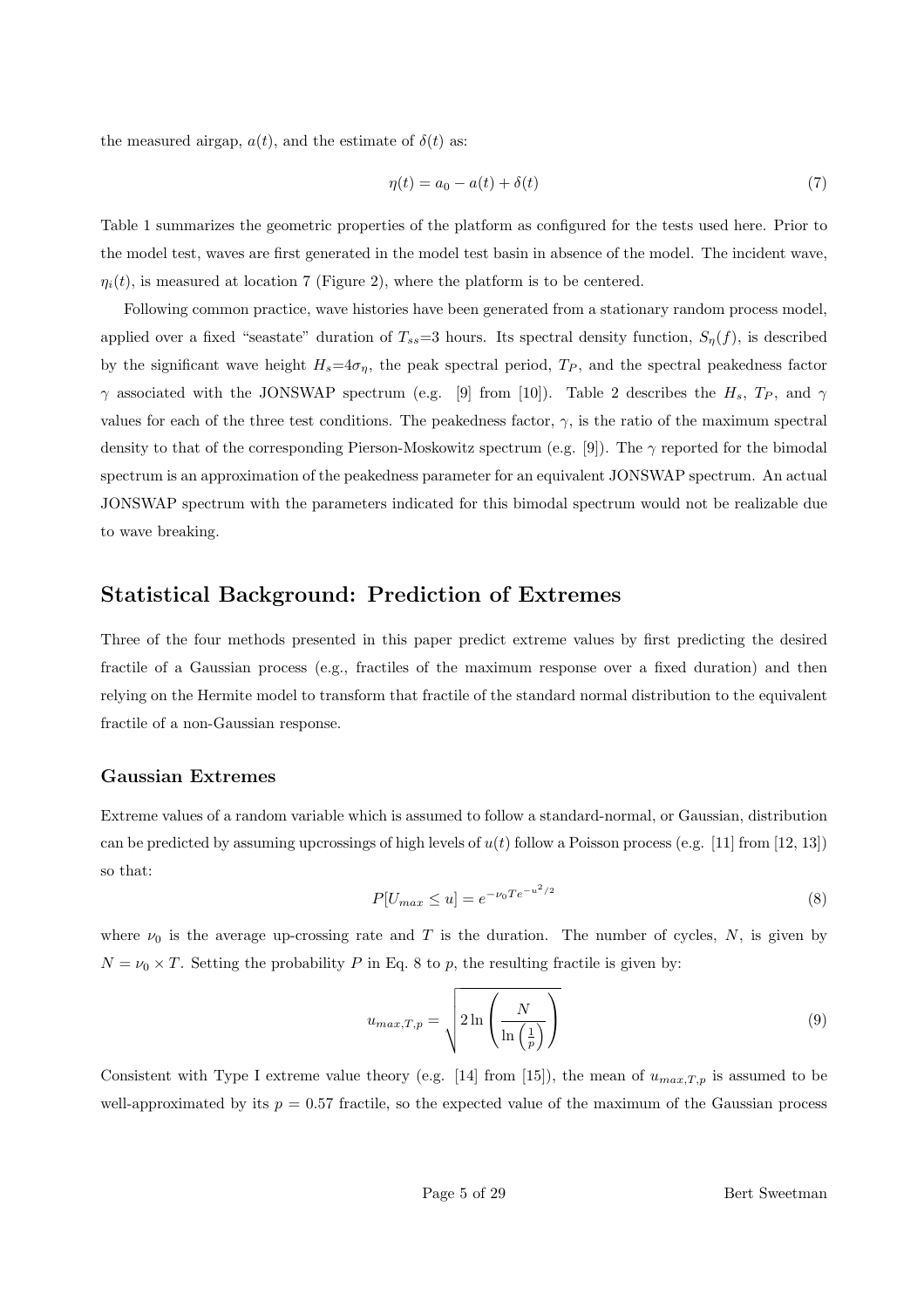the measured airgap,  $a(t)$ , and the estimate of  $\delta(t)$  as:

$$
\eta(t) = a_0 - a(t) + \delta(t) \tag{7}
$$

Table 1 summarizes the geometric properties of the platform as configured for the tests used here. Prior to the model test, waves are first generated in the model test basin in absence of the model. The incident wave,  $\eta_i(t)$ , is measured at location 7 (Figure 2), where the platform is to be centered.

Following common practice, wave histories have been generated from a stationary random process model, applied over a fixed "seastate" duration of  $T_{ss}=3$  hours. Its spectral density function,  $S_{\eta}(f)$ , is described by the significant wave height  $H_s=4\sigma_\eta$ , the peak spectral period,  $T_P$ , and the spectral peakedness factor  $\gamma$  associated with the JONSWAP spectrum (e.g. [9] from [10]). Table 2 describes the  $H_s$ ,  $T_P$ , and  $\gamma$ values for each of the three test conditions. The peakedness factor,  $\gamma$ , is the ratio of the maximum spectral density to that of the corresponding Pierson-Moskowitz spectrum (e.g. [9]). The  $\gamma$  reported for the bimodal spectrum is an approximation of the peakedness parameter for an equivalent JONSWAP spectrum. An actual JONSWAP spectrum with the parameters indicated for this bimodal spectrum would not be realizable due to wave breaking.

### Statistical Background: Prediction of Extremes

Three of the four methods presented in this paper predict extreme values by first predicting the desired fractile of a Gaussian process (e.g., fractiles of the maximum response over a fixed duration) and then relying on the Hermite model to transform that fractile of the standard normal distribution to the equivalent fractile of a non-Gaussian response.

#### Gaussian Extremes

Extreme values of a random variable which is assumed to follow a standard-normal, or Gaussian, distribution can be predicted by assuming upcrossings of high levels of  $u(t)$  follow a Poisson process (e.g. [11] from [12, 13]) so that:

$$
P[U_{max} \le u] = e^{-\nu_0 T e^{-u^2/2}}
$$
\n(8)

where  $\nu_0$  is the average up-crossing rate and T is the duration. The number of cycles, N, is given by  $N = \nu_0 \times T$ . Setting the probability P in Eq. 8 to p, the resulting fractile is given by:

$$
u_{max,T,p} = \sqrt{2\ln\left(\frac{N}{\ln\left(\frac{1}{p}\right)}\right)}
$$
(9)

Consistent with Type I extreme value theory (e.g. [14] from [15]), the mean of  $u_{max,T,p}$  is assumed to be well-approximated by its  $p = 0.57$  fractile, so the expected value of the maximum of the Gaussian process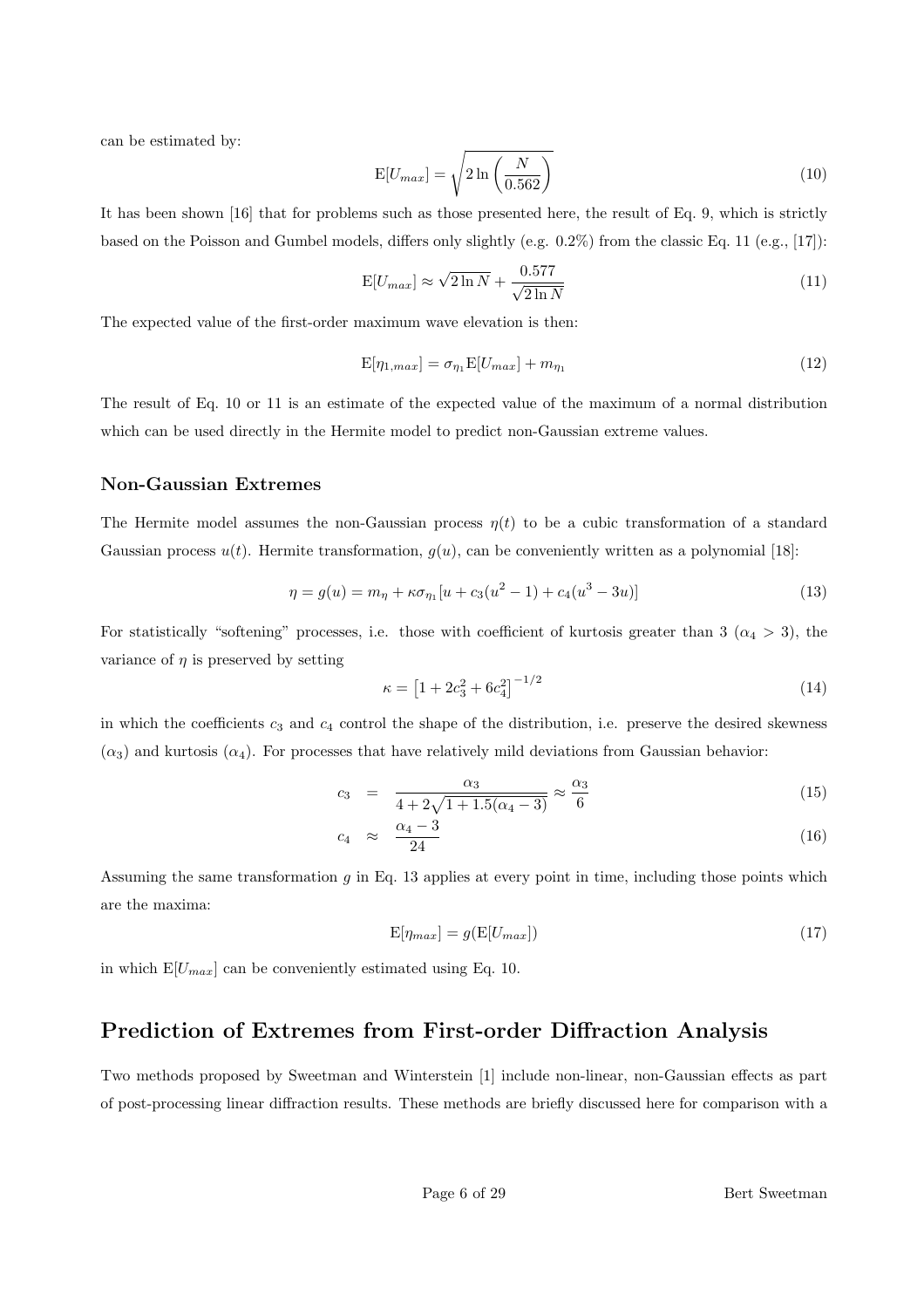can be estimated by:

$$
E[U_{max}] = \sqrt{2 \ln \left(\frac{N}{0.562}\right)}
$$
\n(10)

It has been shown [16] that for problems such as those presented here, the result of Eq. 9, which is strictly based on the Poisson and Gumbel models, differs only slightly (e.g. 0.2%) from the classic Eq. 11 (e.g., [17]):

$$
E[U_{max}] \approx \sqrt{2 \ln N} + \frac{0.577}{\sqrt{2 \ln N}}
$$
\n(11)

The expected value of the first-order maximum wave elevation is then:

$$
E[\eta_{1,max}] = \sigma_{\eta_1} E[U_{max}] + m_{\eta_1}
$$
\n(12)

The result of Eq. 10 or 11 is an estimate of the expected value of the maximum of a normal distribution which can be used directly in the Hermite model to predict non-Gaussian extreme values.

#### Non-Gaussian Extremes

The Hermite model assumes the non-Gaussian process  $\eta(t)$  to be a cubic transformation of a standard Gaussian process  $u(t)$ . Hermite transformation,  $g(u)$ , can be conveniently written as a polynomial [18]:

$$
\eta = g(u) = m_{\eta} + \kappa \sigma_{\eta_1} [u + c_3(u^2 - 1) + c_4(u^3 - 3u)] \tag{13}
$$

For statistically "softening" processes, i.e. those with coefficient of kurtosis greater than 3 ( $\alpha_4 > 3$ ), the variance of  $\eta$  is preserved by setting

$$
\kappa = \left[1 + 2c_3^2 + 6c_4^2\right]^{-1/2} \tag{14}
$$

in which the coefficients  $c_3$  and  $c_4$  control the shape of the distribution, i.e. preserve the desired skewness  $(\alpha_3)$  and kurtosis  $(\alpha_4)$ . For processes that have relatively mild deviations from Gaussian behavior:

$$
c_3 = \frac{\alpha_3}{4 + 2\sqrt{1 + 1.5(\alpha_4 - 3)}} \approx \frac{\alpha_3}{6} \tag{15}
$$

$$
c_4 \approx \frac{\alpha_4 - 3}{24} \tag{16}
$$

Assuming the same transformation  $g$  in Eq. 13 applies at every point in time, including those points which are the maxima:

$$
E[\eta_{max}] = g(E[U_{max}])\tag{17}
$$

in which  $E[U_{max}]$  can be conveniently estimated using Eq. 10.

# Prediction of Extremes from First-order Diffraction Analysis

Two methods proposed by Sweetman and Winterstein [1] include non-linear, non-Gaussian effects as part of post-processing linear diffraction results. These methods are briefly discussed here for comparison with a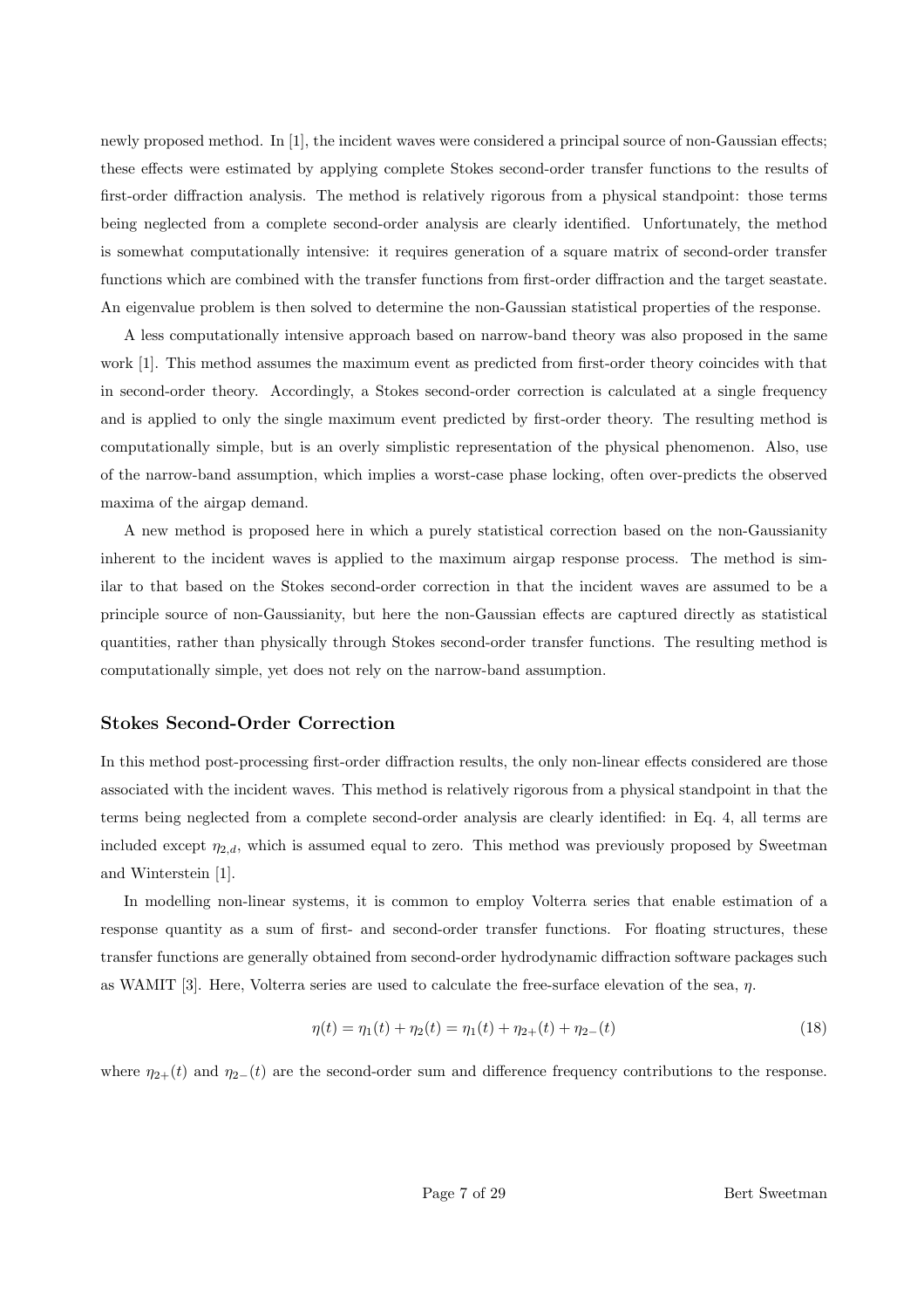newly proposed method. In [1], the incident waves were considered a principal source of non-Gaussian effects; these effects were estimated by applying complete Stokes second-order transfer functions to the results of first-order diffraction analysis. The method is relatively rigorous from a physical standpoint: those terms being neglected from a complete second-order analysis are clearly identified. Unfortunately, the method is somewhat computationally intensive: it requires generation of a square matrix of second-order transfer functions which are combined with the transfer functions from first-order diffraction and the target seastate. An eigenvalue problem is then solved to determine the non-Gaussian statistical properties of the response.

A less computationally intensive approach based on narrow-band theory was also proposed in the same work [1]. This method assumes the maximum event as predicted from first-order theory coincides with that in second-order theory. Accordingly, a Stokes second-order correction is calculated at a single frequency and is applied to only the single maximum event predicted by first-order theory. The resulting method is computationally simple, but is an overly simplistic representation of the physical phenomenon. Also, use of the narrow-band assumption, which implies a worst-case phase locking, often over-predicts the observed maxima of the airgap demand.

A new method is proposed here in which a purely statistical correction based on the non-Gaussianity inherent to the incident waves is applied to the maximum airgap response process. The method is similar to that based on the Stokes second-order correction in that the incident waves are assumed to be a principle source of non-Gaussianity, but here the non-Gaussian effects are captured directly as statistical quantities, rather than physically through Stokes second-order transfer functions. The resulting method is computationally simple, yet does not rely on the narrow-band assumption.

#### Stokes Second-Order Correction

In this method post-processing first-order diffraction results, the only non-linear effects considered are those associated with the incident waves. This method is relatively rigorous from a physical standpoint in that the terms being neglected from a complete second-order analysis are clearly identified: in Eq. 4, all terms are included except  $\eta_{2,d}$ , which is assumed equal to zero. This method was previously proposed by Sweetman and Winterstein [1].

In modelling non-linear systems, it is common to employ Volterra series that enable estimation of a response quantity as a sum of first- and second-order transfer functions. For floating structures, these transfer functions are generally obtained from second-order hydrodynamic diffraction software packages such as WAMIT [3]. Here, Volterra series are used to calculate the free-surface elevation of the sea,  $\eta$ .

$$
\eta(t) = \eta_1(t) + \eta_2(t) = \eta_1(t) + \eta_{2+}(t) + \eta_{2-}(t)
$$
\n(18)

where  $\eta_{2+}(t)$  and  $\eta_{2-}(t)$  are the second-order sum and difference frequency contributions to the response.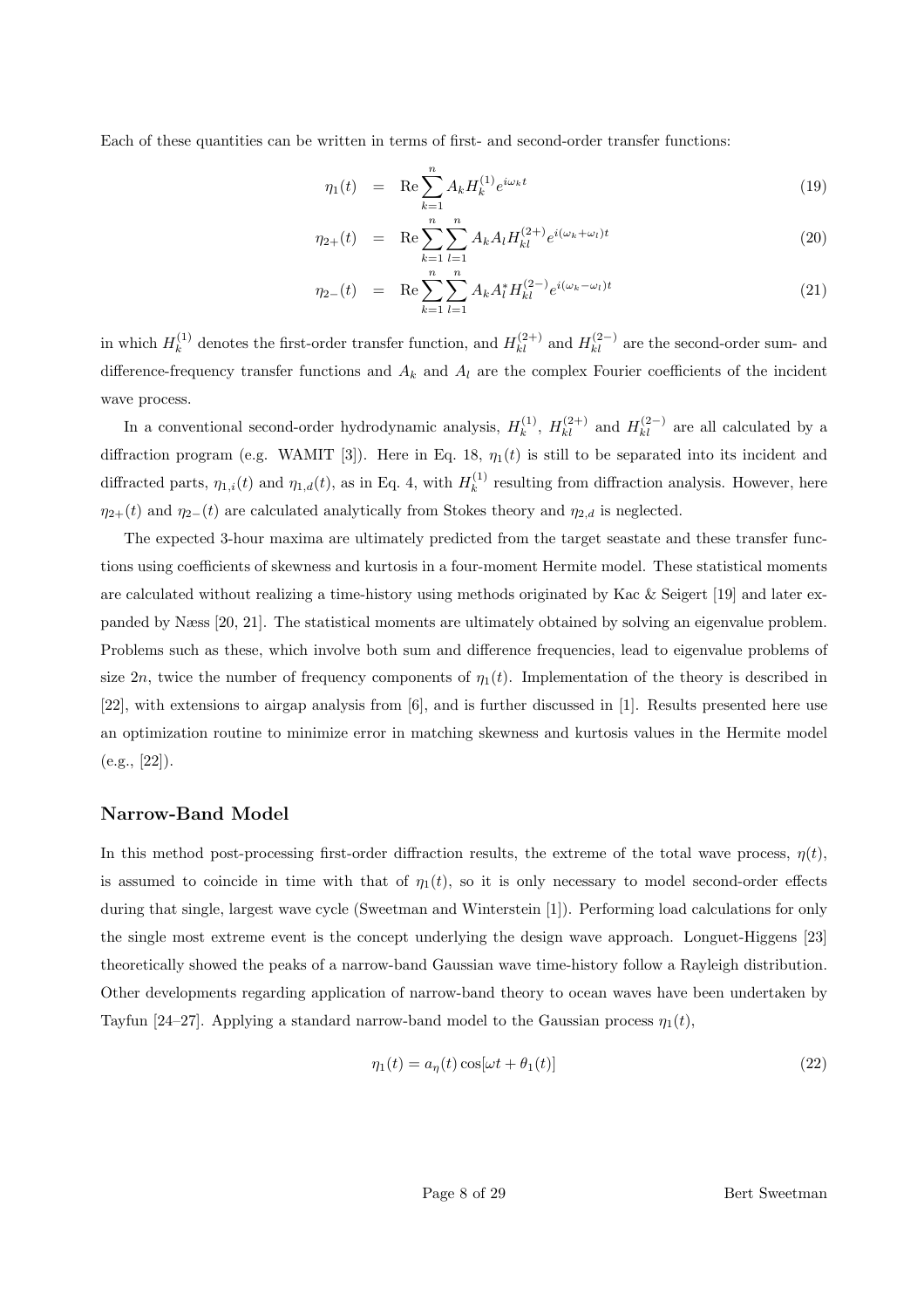Each of these quantities can be written in terms of first- and second-order transfer functions:

$$
\eta_1(t) = \text{Re} \sum_{k=1}^{n} A_k H_k^{(1)} e^{i\omega_k t} \tag{19}
$$

$$
\eta_{2+}(t) = \text{Re} \sum_{k=1}^{n} \sum_{l=1}^{n} A_k A_l H_{kl}^{(2+)} e^{i(\omega_k + \omega_l)t}
$$
\n(20)

$$
\eta_{2-}(t) = \text{Re} \sum_{k=1}^{n} \sum_{l=1}^{n} A_k A_l^* H_{kl}^{(2-)} e^{i(\omega_k - \omega_l)t}
$$
\n(21)

in which  $H_k^{(1)}$  $k_k^{(1)}$  denotes the first-order transfer function, and  $H_{kl}^{(2+)}$  and  $H_{kl}^{(2-)}$  are the second-order sum- and difference-frequency transfer functions and  $A_k$  and  $A_l$  are the complex Fourier coefficients of the incident wave process.

In a conventional second-order hydrodynamic analysis,  $H_{\nu}^{(1)}$  $k_k^{(1)}$ ,  $H_{kl}^{(2+)}$  and  $H_{kl}^{(2-)}$  are all calculated by a diffraction program (e.g. WAMIT [3]). Here in Eq. 18,  $\eta_1(t)$  is still to be separated into its incident and diffracted parts,  $\eta_{1,i}(t)$  and  $\eta_{1,d}(t)$ , as in Eq. 4, with  $H_k^{(1)}$  $k<sup>(1)</sup>$  resulting from diffraction analysis. However, here  $\eta_{2+}(t)$  and  $\eta_{2-}(t)$  are calculated analytically from Stokes theory and  $\eta_{2,d}$  is neglected.

The expected 3-hour maxima are ultimately predicted from the target seastate and these transfer functions using coefficients of skewness and kurtosis in a four-moment Hermite model. These statistical moments are calculated without realizing a time-history using methods originated by Kac & Seigert [19] and later expanded by Næss [20, 21]. The statistical moments are ultimately obtained by solving an eigenvalue problem. Problems such as these, which involve both sum and difference frequencies, lead to eigenvalue problems of size 2n, twice the number of frequency components of  $\eta_1(t)$ . Implementation of the theory is described in [22], with extensions to airgap analysis from [6], and is further discussed in [1]. Results presented here use an optimization routine to minimize error in matching skewness and kurtosis values in the Hermite model  $(e.g., [22]).$ 

#### Narrow-Band Model

In this method post-processing first-order diffraction results, the extreme of the total wave process,  $\eta(t)$ , is assumed to coincide in time with that of  $\eta_1(t)$ , so it is only necessary to model second-order effects during that single, largest wave cycle (Sweetman and Winterstein [1]). Performing load calculations for only the single most extreme event is the concept underlying the design wave approach. Longuet-Higgens [23] theoretically showed the peaks of a narrow-band Gaussian wave time-history follow a Rayleigh distribution. Other developments regarding application of narrow-band theory to ocean waves have been undertaken by Tayfun [24–27]. Applying a standard narrow-band model to the Gaussian process  $\eta_1(t)$ ,

$$
\eta_1(t) = a_\eta(t) \cos[\omega t + \theta_1(t)] \tag{22}
$$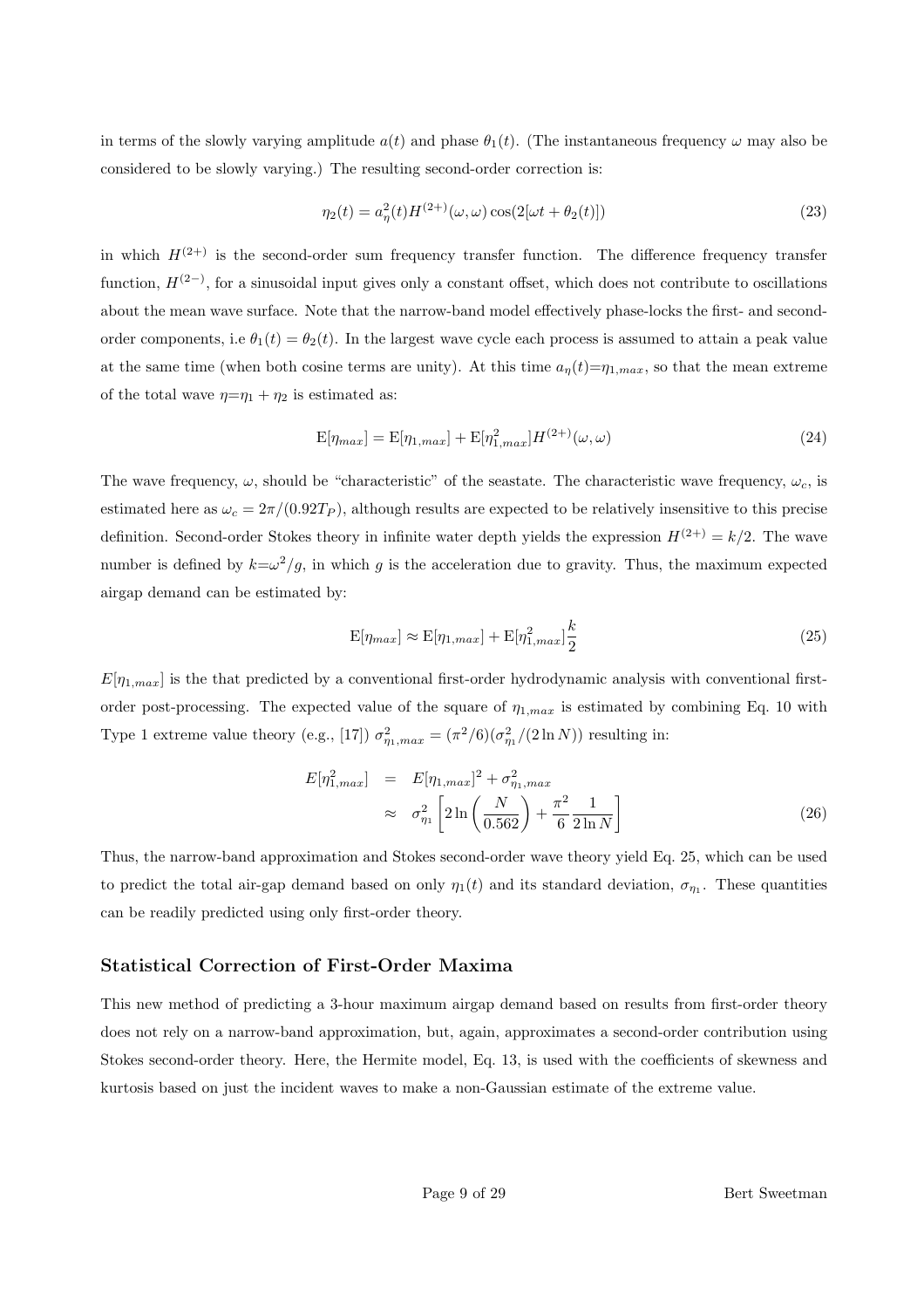in terms of the slowly varying amplitude  $a(t)$  and phase  $\theta_1(t)$ . (The instantaneous frequency  $\omega$  may also be considered to be slowly varying.) The resulting second-order correction is:

$$
\eta_2(t) = a_\eta^2(t)H^{(2+)}(\omega,\omega)\cos(2[\omega t + \theta_2(t)])
$$
\n(23)

in which  $H^{(2+)}$  is the second-order sum frequency transfer function. The difference frequency transfer function,  $H^{(2-)}$ , for a sinusoidal input gives only a constant offset, which does not contribute to oscillations about the mean wave surface. Note that the narrow-band model effectively phase-locks the first- and secondorder components, i.e  $\theta_1(t) = \theta_2(t)$ . In the largest wave cycle each process is assumed to attain a peak value at the same time (when both cosine terms are unity). At this time  $a_{\eta}(t)=\eta_{1,max}$ , so that the mean extreme of the total wave  $\eta = \eta_1 + \eta_2$  is estimated as:

$$
E[\eta_{max}] = E[\eta_{1,max}] + E[\eta_{1,max}^2]H^{(2+)}(\omega,\omega)
$$
\n(24)

The wave frequency,  $\omega$ , should be "characteristic" of the seastate. The characteristic wave frequency,  $\omega_c$ , is estimated here as  $\omega_c = 2\pi/(0.92T_P)$ , although results are expected to be relatively insensitive to this precise definition. Second-order Stokes theory in infinite water depth yields the expression  $H^{(2+)} = k/2$ . The wave number is defined by  $k=\omega^2/g$ , in which g is the acceleration due to gravity. Thus, the maximum expected airgap demand can be estimated by:

$$
E[\eta_{max}] \approx E[\eta_{1,max}] + E[\eta_{1,max}^2] \frac{k}{2}
$$
\n(25)

 $E[\eta_{1,max}]$  is the that predicted by a conventional first-order hydrodynamic analysis with conventional firstorder post-processing. The expected value of the square of  $\eta_{1,max}$  is estimated by combining Eq. 10 with Type 1 extreme value theory (e.g., [17])  $\sigma_{\eta_1, max}^2 = (\pi^2/6)(\sigma_{\eta_1}^2/(2 \ln N))$  resulting in:

$$
E[\eta_{1,max}^2] = E[\eta_{1,max}]^2 + \sigma_{\eta_1,max}^2
$$
  

$$
\approx \sigma_{\eta_1}^2 \left[ 2 \ln \left( \frac{N}{0.562} \right) + \frac{\pi^2}{6} \frac{1}{2 \ln N} \right]
$$
 (26)

Thus, the narrow-band approximation and Stokes second-order wave theory yield Eq. 25, which can be used to predict the total air-gap demand based on only  $\eta_1(t)$  and its standard deviation,  $\sigma_{\eta_1}$ . These quantities can be readily predicted using only first-order theory.

#### Statistical Correction of First-Order Maxima

This new method of predicting a 3-hour maximum airgap demand based on results from first-order theory does not rely on a narrow-band approximation, but, again, approximates a second-order contribution using Stokes second-order theory. Here, the Hermite model, Eq. 13, is used with the coefficients of skewness and kurtosis based on just the incident waves to make a non-Gaussian estimate of the extreme value.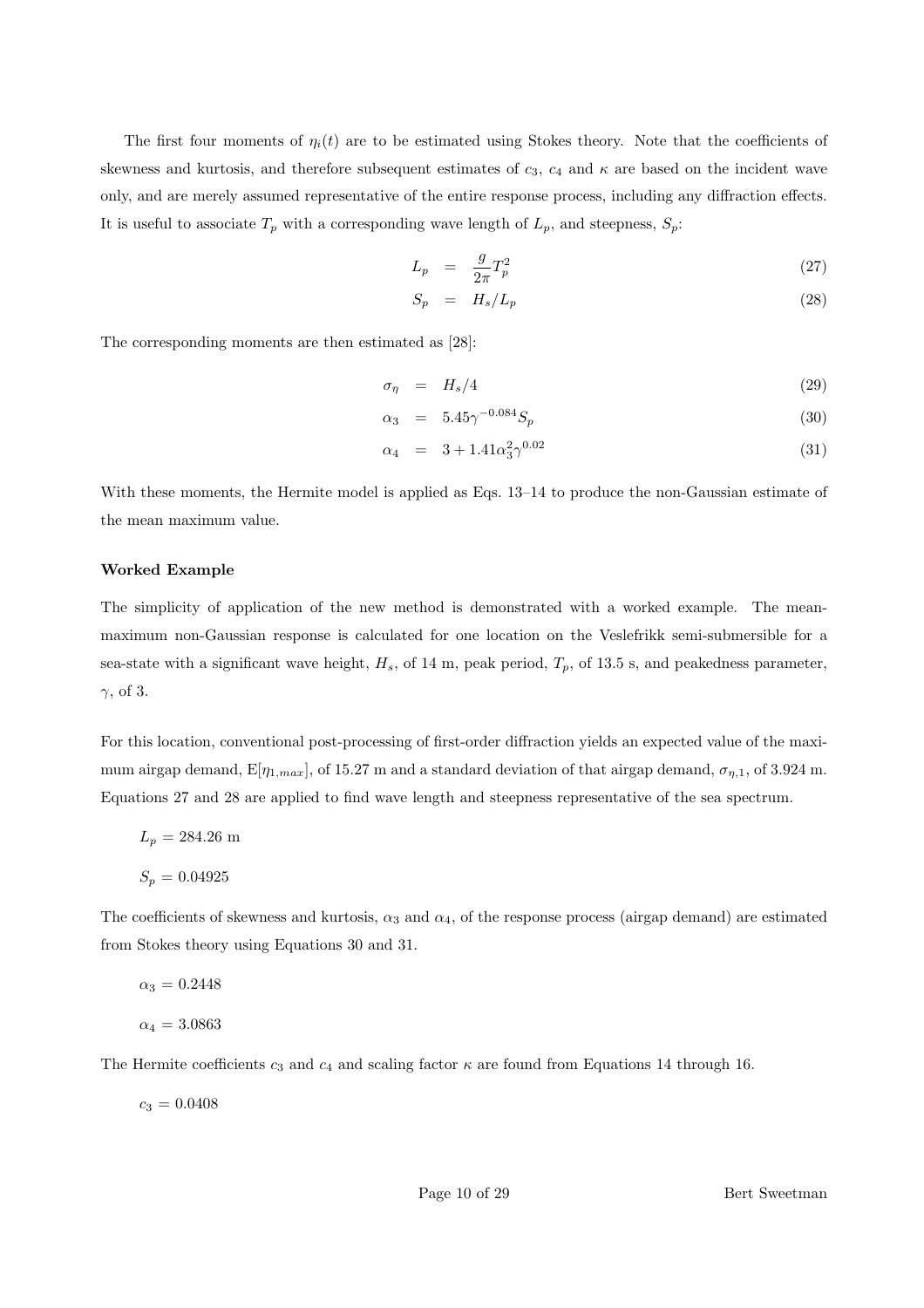The first four moments of  $\eta_i(t)$  are to be estimated using Stokes theory. Note that the coefficients of skewness and kurtosis, and therefore subsequent estimates of  $c_3$ ,  $c_4$  and  $\kappa$  are based on the incident wave only, and are merely assumed representative of the entire response process, including any diffraction effects. It is useful to associate  $T_p$  with a corresponding wave length of  $L_p$ , and steepness,  $S_p$ :

$$
L_p = \frac{g}{2\pi}T_p^2 \tag{27}
$$

$$
S_p = H_s/L_p \tag{28}
$$

The corresponding moments are then estimated as [28]:

$$
\sigma_{\eta} = H_s/4 \tag{29}
$$

$$
\alpha_3 = 5.45 \gamma^{-0.084} S_p \tag{30}
$$

$$
\alpha_4 = 3 + 1.41 \alpha_3^2 \gamma^{0.02} \tag{31}
$$

With these moments, the Hermite model is applied as Eqs. 13–14 to produce the non-Gaussian estimate of the mean maximum value.

#### Worked Example

The simplicity of application of the new method is demonstrated with a worked example. The meanmaximum non-Gaussian response is calculated for one location on the Veslefrikk semi-submersible for a sea-state with a significant wave height,  $H_s$ , of 14 m, peak period,  $T_p$ , of 13.5 s, and peakedness parameter,  $\gamma$ , of 3.

For this location, conventional post-processing of first-order diffraction yields an expected value of the maximum airgap demand,  $E[\eta_{1,max}]$ , of 15.27 m and a standard deviation of that airgap demand,  $\sigma_{\eta,1}$ , of 3.924 m. Equations 27 and 28 are applied to find wave length and steepness representative of the sea spectrum.

$$
L_p = 284.26 \text{ m}
$$

 $S_p = 0.04925$ 

The coefficients of skewness and kurtosis,  $\alpha_3$  and  $\alpha_4$ , of the response process (airgap demand) are estimated from Stokes theory using Equations 30 and 31.

$$
\alpha_3 = 0.2448
$$
  

$$
\alpha_4 = 3.0863
$$

The Hermite coefficients  $c_3$  and  $c_4$  and scaling factor  $\kappa$  are found from Equations 14 through 16.

 $c_3 = 0.0408$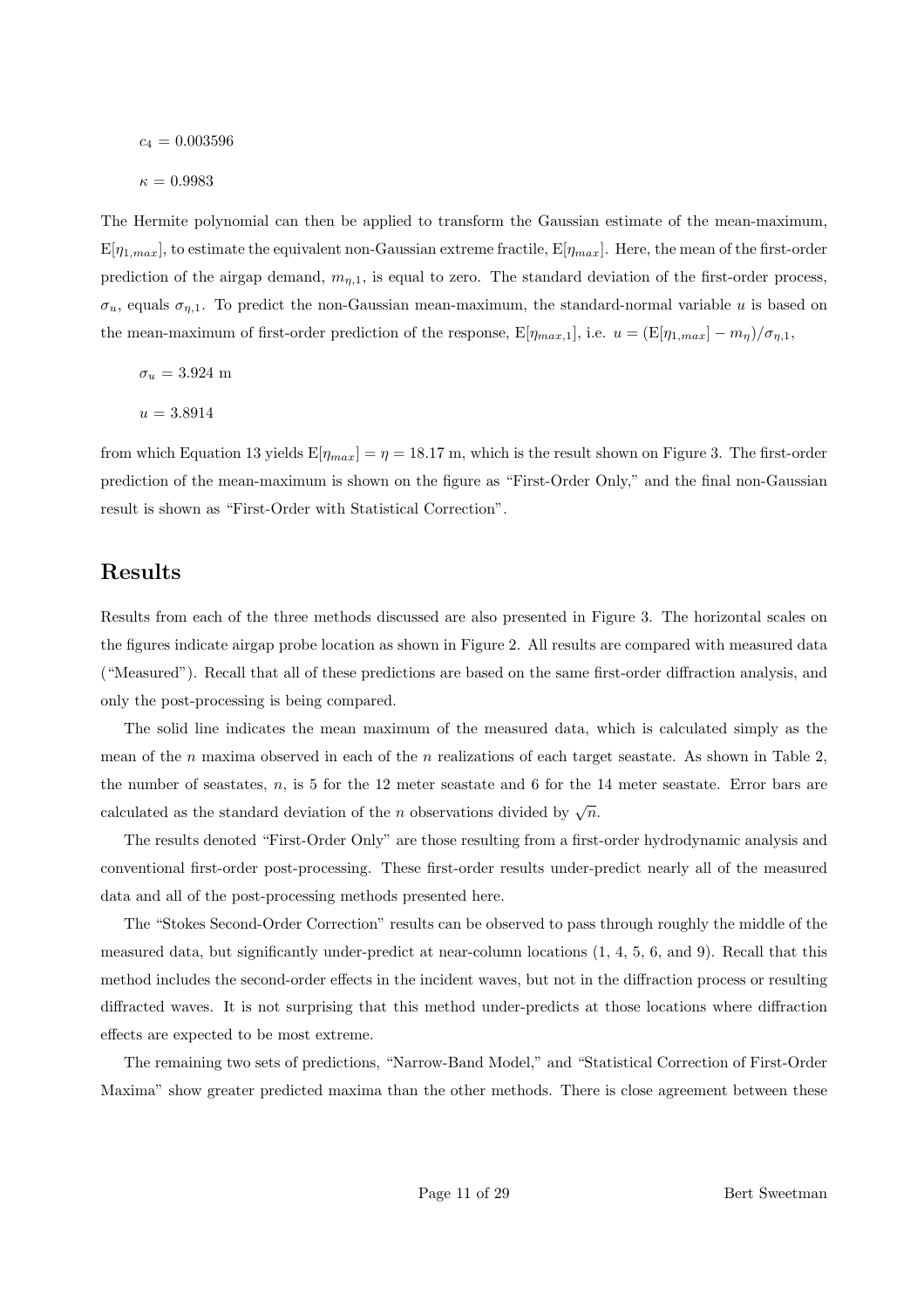$$
c_4 = 0.003596
$$

$$
\kappa = 0.9983
$$

The Hermite polynomial can then be applied to transform the Gaussian estimate of the mean-maximum,  $E[\eta_{1,max}]$ , to estimate the equivalent non-Gaussian extreme fractile,  $E[\eta_{max}]$ . Here, the mean of the first-order prediction of the airgap demand,  $m_{\eta,1}$ , is equal to zero. The standard deviation of the first-order process,  $\sigma_u$ , equals  $\sigma_{\eta,1}$ . To predict the non-Gaussian mean-maximum, the standard-normal variable u is based on the mean-maximum of first-order prediction of the response,  $E[\eta_{max,1}]$ , i.e.  $u = (E[\eta_{1,max}] - m_{\eta})/\sigma_{\eta,1}$ ,

$$
\sigma_u=3.924~\text{m}
$$

 $u = 3.8914$ 

from which Equation 13 yields  $E[\eta_{max}] = \eta = 18.17$  m, which is the result shown on Figure 3. The first-order prediction of the mean-maximum is shown on the figure as "First-Order Only," and the final non-Gaussian result is shown as "First-Order with Statistical Correction".

# Results

Results from each of the three methods discussed are also presented in Figure 3. The horizontal scales on the figures indicate airgap probe location as shown in Figure 2. All results are compared with measured data ("Measured"). Recall that all of these predictions are based on the same first-order diffraction analysis, and only the post-processing is being compared.

The solid line indicates the mean maximum of the measured data, which is calculated simply as the mean of the  $n$  maxima observed in each of the  $n$  realizations of each target seastate. As shown in Table 2, the number of seastates, n, is 5 for the 12 meter seastate and 6 for the 14 meter seastate. Error bars are calculated as the standard deviation of the *n* observations divided by  $\sqrt{n}$ .

The results denoted "First-Order Only" are those resulting from a first-order hydrodynamic analysis and conventional first-order post-processing. These first-order results under-predict nearly all of the measured data and all of the post-processing methods presented here.

The "Stokes Second-Order Correction" results can be observed to pass through roughly the middle of the measured data, but significantly under-predict at near-column locations (1, 4, 5, 6, and 9). Recall that this method includes the second-order effects in the incident waves, but not in the diffraction process or resulting diffracted waves. It is not surprising that this method under-predicts at those locations where diffraction effects are expected to be most extreme.

The remaining two sets of predictions, "Narrow-Band Model," and "Statistical Correction of First-Order Maxima" show greater predicted maxima than the other methods. There is close agreement between these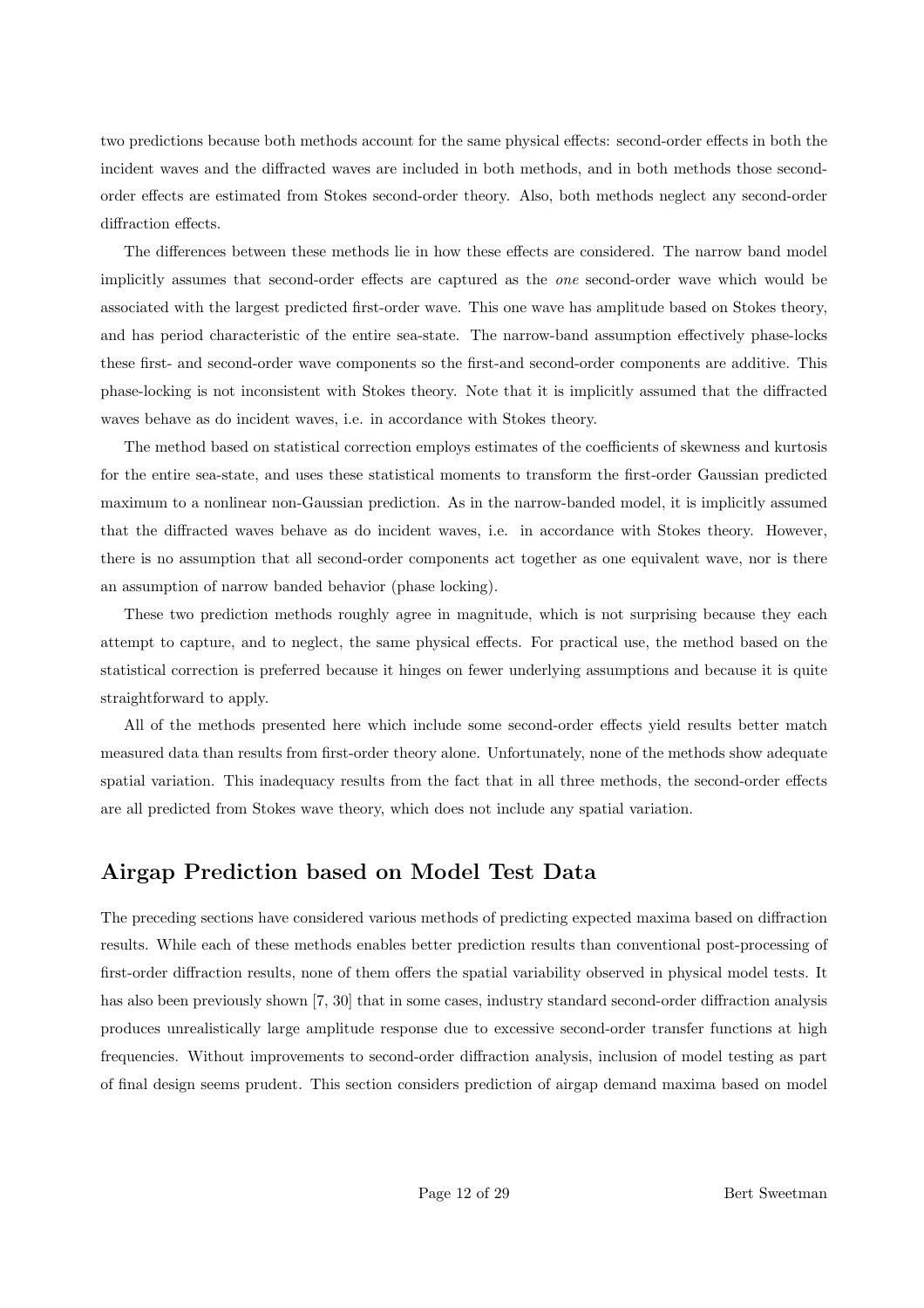two predictions because both methods account for the same physical effects: second-order effects in both the incident waves and the diffracted waves are included in both methods, and in both methods those secondorder effects are estimated from Stokes second-order theory. Also, both methods neglect any second-order diffraction effects.

The differences between these methods lie in how these effects are considered. The narrow band model implicitly assumes that second-order effects are captured as the one second-order wave which would be associated with the largest predicted first-order wave. This one wave has amplitude based on Stokes theory, and has period characteristic of the entire sea-state. The narrow-band assumption effectively phase-locks these first- and second-order wave components so the first-and second-order components are additive. This phase-locking is not inconsistent with Stokes theory. Note that it is implicitly assumed that the diffracted waves behave as do incident waves, i.e. in accordance with Stokes theory.

The method based on statistical correction employs estimates of the coefficients of skewness and kurtosis for the entire sea-state, and uses these statistical moments to transform the first-order Gaussian predicted maximum to a nonlinear non-Gaussian prediction. As in the narrow-banded model, it is implicitly assumed that the diffracted waves behave as do incident waves, i.e. in accordance with Stokes theory. However, there is no assumption that all second-order components act together as one equivalent wave, nor is there an assumption of narrow banded behavior (phase locking).

These two prediction methods roughly agree in magnitude, which is not surprising because they each attempt to capture, and to neglect, the same physical effects. For practical use, the method based on the statistical correction is preferred because it hinges on fewer underlying assumptions and because it is quite straightforward to apply.

All of the methods presented here which include some second-order effects yield results better match measured data than results from first-order theory alone. Unfortunately, none of the methods show adequate spatial variation. This inadequacy results from the fact that in all three methods, the second-order effects are all predicted from Stokes wave theory, which does not include any spatial variation.

# Airgap Prediction based on Model Test Data

The preceding sections have considered various methods of predicting expected maxima based on diffraction results. While each of these methods enables better prediction results than conventional post-processing of first-order diffraction results, none of them offers the spatial variability observed in physical model tests. It has also been previously shown [7, 30] that in some cases, industry standard second-order diffraction analysis produces unrealistically large amplitude response due to excessive second-order transfer functions at high frequencies. Without improvements to second-order diffraction analysis, inclusion of model testing as part of final design seems prudent. This section considers prediction of airgap demand maxima based on model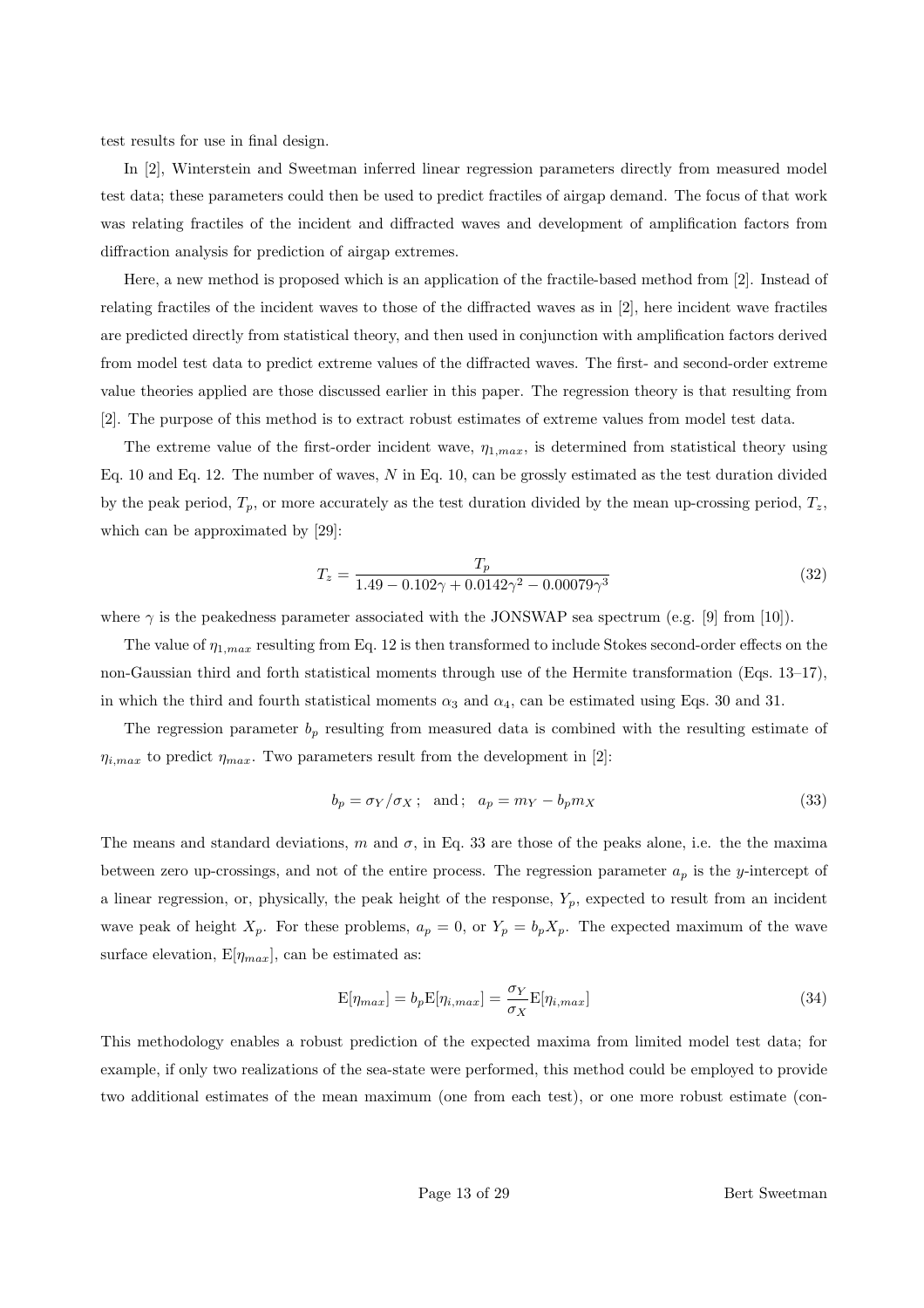test results for use in final design.

In [2], Winterstein and Sweetman inferred linear regression parameters directly from measured model test data; these parameters could then be used to predict fractiles of airgap demand. The focus of that work was relating fractiles of the incident and diffracted waves and development of amplification factors from diffraction analysis for prediction of airgap extremes.

Here, a new method is proposed which is an application of the fractile-based method from [2]. Instead of relating fractiles of the incident waves to those of the diffracted waves as in [2], here incident wave fractiles are predicted directly from statistical theory, and then used in conjunction with amplification factors derived from model test data to predict extreme values of the diffracted waves. The first- and second-order extreme value theories applied are those discussed earlier in this paper. The regression theory is that resulting from [2]. The purpose of this method is to extract robust estimates of extreme values from model test data.

The extreme value of the first-order incident wave,  $\eta_{1,max}$ , is determined from statistical theory using Eq. 10 and Eq. 12. The number of waves, N in Eq. 10, can be grossly estimated as the test duration divided by the peak period,  $T_p$ , or more accurately as the test duration divided by the mean up-crossing period,  $T_z$ which can be approximated by [29]:

$$
T_z = \frac{T_p}{1.49 - 0.102\gamma + 0.0142\gamma^2 - 0.00079\gamma^3}
$$
(32)

where  $\gamma$  is the peakedness parameter associated with the JONSWAP sea spectrum (e.g. [9] from [10]).

The value of  $\eta_{1,max}$  resulting from Eq. 12 is then transformed to include Stokes second-order effects on the non-Gaussian third and forth statistical moments through use of the Hermite transformation (Eqs. 13–17), in which the third and fourth statistical moments  $\alpha_3$  and  $\alpha_4$ , can be estimated using Eqs. 30 and 31.

The regression parameter  $b_p$  resulting from measured data is combined with the resulting estimate of  $\eta_{i,max}$  to predict  $\eta_{max}$ . Two parameters result from the development in [2]:

$$
b_p = \sigma_Y / \sigma_X; \text{ and } a_p = m_Y - b_p m_X \tag{33}
$$

The means and standard deviations, m and  $\sigma$ , in Eq. 33 are those of the peaks alone, i.e. the the maxima between zero up-crossings, and not of the entire process. The regression parameter  $a_p$  is the y-intercept of a linear regression, or, physically, the peak height of the response,  $Y_p$ , expected to result from an incident wave peak of height  $X_p$ . For these problems,  $a_p = 0$ , or  $Y_p = b_p X_p$ . The expected maximum of the wave surface elevation,  $E[\eta_{max}]$ , can be estimated as:

$$
E[\eta_{max}] = b_p E[\eta_{i,max}] = \frac{\sigma_Y}{\sigma_X} E[\eta_{i,max}]
$$
\n(34)

This methodology enables a robust prediction of the expected maxima from limited model test data; for example, if only two realizations of the sea-state were performed, this method could be employed to provide two additional estimates of the mean maximum (one from each test), or one more robust estimate (con-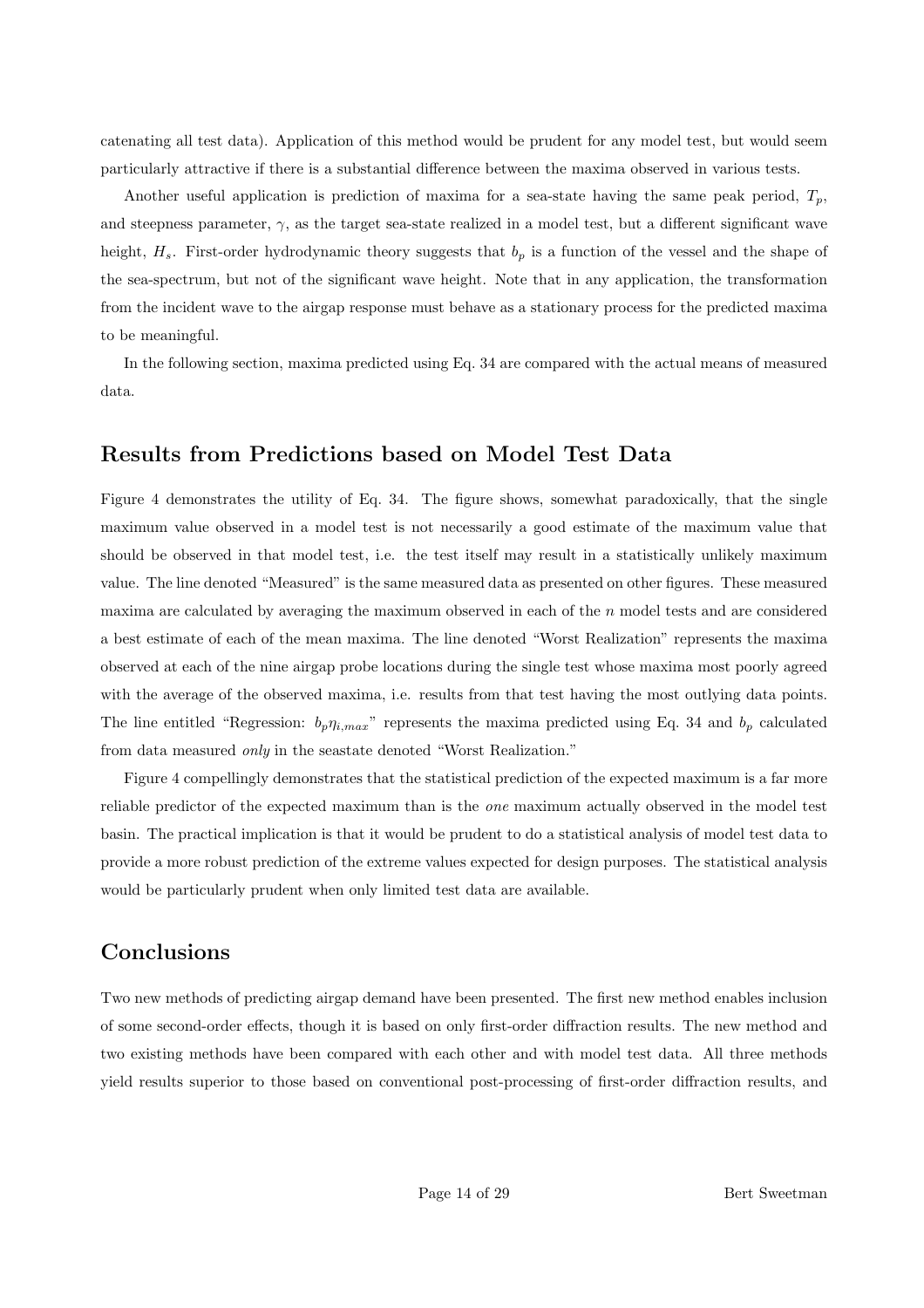catenating all test data). Application of this method would be prudent for any model test, but would seem particularly attractive if there is a substantial difference between the maxima observed in various tests.

Another useful application is prediction of maxima for a sea-state having the same peak period,  $T_p$ , and steepness parameter,  $\gamma$ , as the target sea-state realized in a model test, but a different significant wave height,  $H_s$ . First-order hydrodynamic theory suggests that  $b_p$  is a function of the vessel and the shape of the sea-spectrum, but not of the significant wave height. Note that in any application, the transformation from the incident wave to the airgap response must behave as a stationary process for the predicted maxima to be meaningful.

In the following section, maxima predicted using Eq. 34 are compared with the actual means of measured data.

### Results from Predictions based on Model Test Data

Figure 4 demonstrates the utility of Eq. 34. The figure shows, somewhat paradoxically, that the single maximum value observed in a model test is not necessarily a good estimate of the maximum value that should be observed in that model test, i.e. the test itself may result in a statistically unlikely maximum value. The line denoted "Measured" is the same measured data as presented on other figures. These measured maxima are calculated by averaging the maximum observed in each of the  $n$  model tests and are considered a best estimate of each of the mean maxima. The line denoted "Worst Realization" represents the maxima observed at each of the nine airgap probe locations during the single test whose maxima most poorly agreed with the average of the observed maxima, i.e. results from that test having the most outlying data points. The line entitled "Regression:  $b_p \eta_{i,max}$ " represents the maxima predicted using Eq. 34 and  $b_p$  calculated from data measured only in the seastate denoted "Worst Realization."

Figure 4 compellingly demonstrates that the statistical prediction of the expected maximum is a far more reliable predictor of the expected maximum than is the one maximum actually observed in the model test basin. The practical implication is that it would be prudent to do a statistical analysis of model test data to provide a more robust prediction of the extreme values expected for design purposes. The statistical analysis would be particularly prudent when only limited test data are available.

# Conclusions

Two new methods of predicting airgap demand have been presented. The first new method enables inclusion of some second-order effects, though it is based on only first-order diffraction results. The new method and two existing methods have been compared with each other and with model test data. All three methods yield results superior to those based on conventional post-processing of first-order diffraction results, and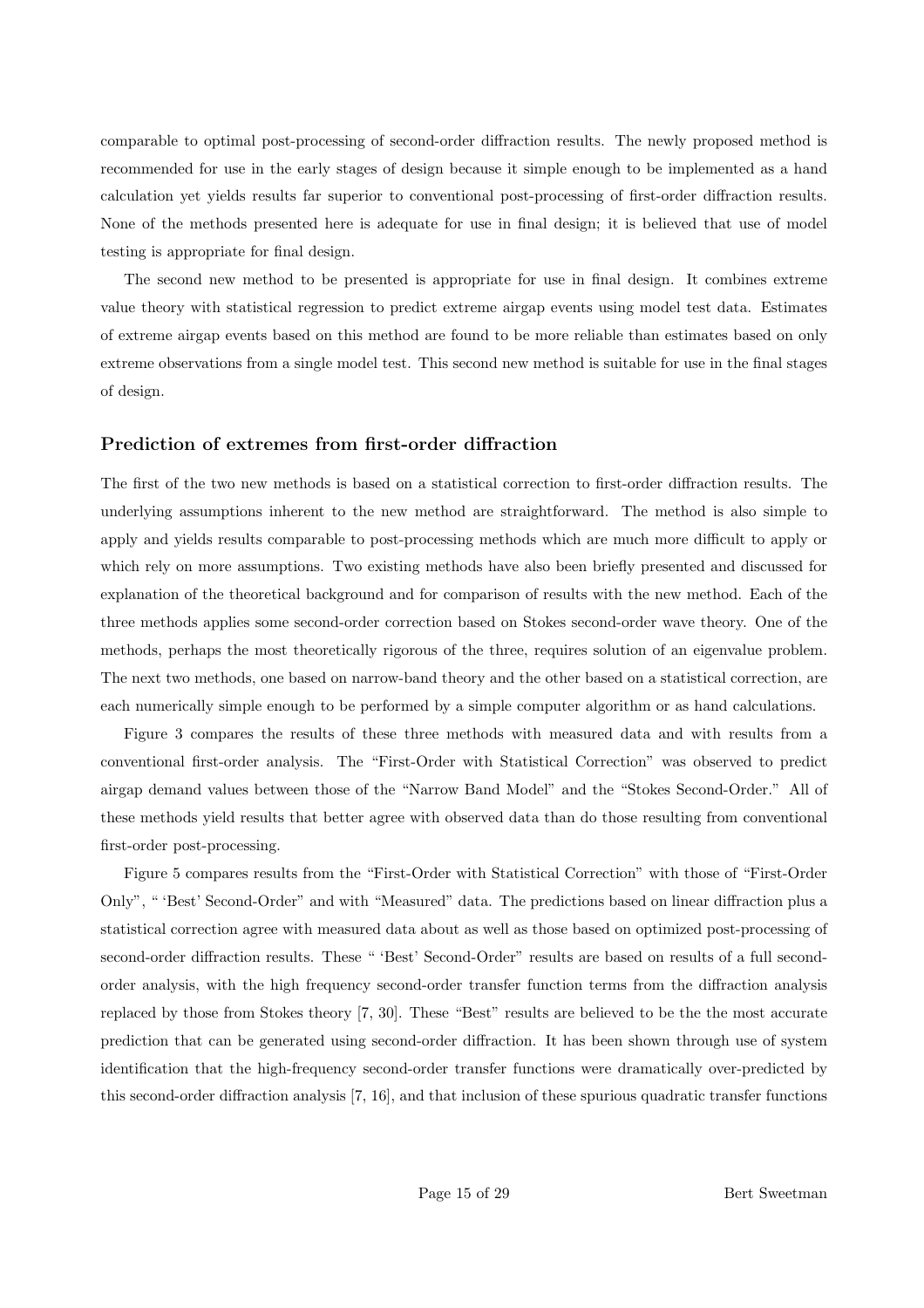comparable to optimal post-processing of second-order diffraction results. The newly proposed method is recommended for use in the early stages of design because it simple enough to be implemented as a hand calculation yet yields results far superior to conventional post-processing of first-order diffraction results. None of the methods presented here is adequate for use in final design; it is believed that use of model testing is appropriate for final design.

The second new method to be presented is appropriate for use in final design. It combines extreme value theory with statistical regression to predict extreme airgap events using model test data. Estimates of extreme airgap events based on this method are found to be more reliable than estimates based on only extreme observations from a single model test. This second new method is suitable for use in the final stages of design.

#### Prediction of extremes from first-order diffraction

The first of the two new methods is based on a statistical correction to first-order diffraction results. The underlying assumptions inherent to the new method are straightforward. The method is also simple to apply and yields results comparable to post-processing methods which are much more difficult to apply or which rely on more assumptions. Two existing methods have also been briefly presented and discussed for explanation of the theoretical background and for comparison of results with the new method. Each of the three methods applies some second-order correction based on Stokes second-order wave theory. One of the methods, perhaps the most theoretically rigorous of the three, requires solution of an eigenvalue problem. The next two methods, one based on narrow-band theory and the other based on a statistical correction, are each numerically simple enough to be performed by a simple computer algorithm or as hand calculations.

Figure 3 compares the results of these three methods with measured data and with results from a conventional first-order analysis. The "First-Order with Statistical Correction" was observed to predict airgap demand values between those of the "Narrow Band Model" and the "Stokes Second-Order." All of these methods yield results that better agree with observed data than do those resulting from conventional first-order post-processing.

Figure 5 compares results from the "First-Order with Statistical Correction" with those of "First-Order Only", " 'Best' Second-Order" and with "Measured" data. The predictions based on linear diffraction plus a statistical correction agree with measured data about as well as those based on optimized post-processing of second-order diffraction results. These " 'Best' Second-Order" results are based on results of a full secondorder analysis, with the high frequency second-order transfer function terms from the diffraction analysis replaced by those from Stokes theory [7, 30]. These "Best" results are believed to be the the most accurate prediction that can be generated using second-order diffraction. It has been shown through use of system identification that the high-frequency second-order transfer functions were dramatically over-predicted by this second-order diffraction analysis [7, 16], and that inclusion of these spurious quadratic transfer functions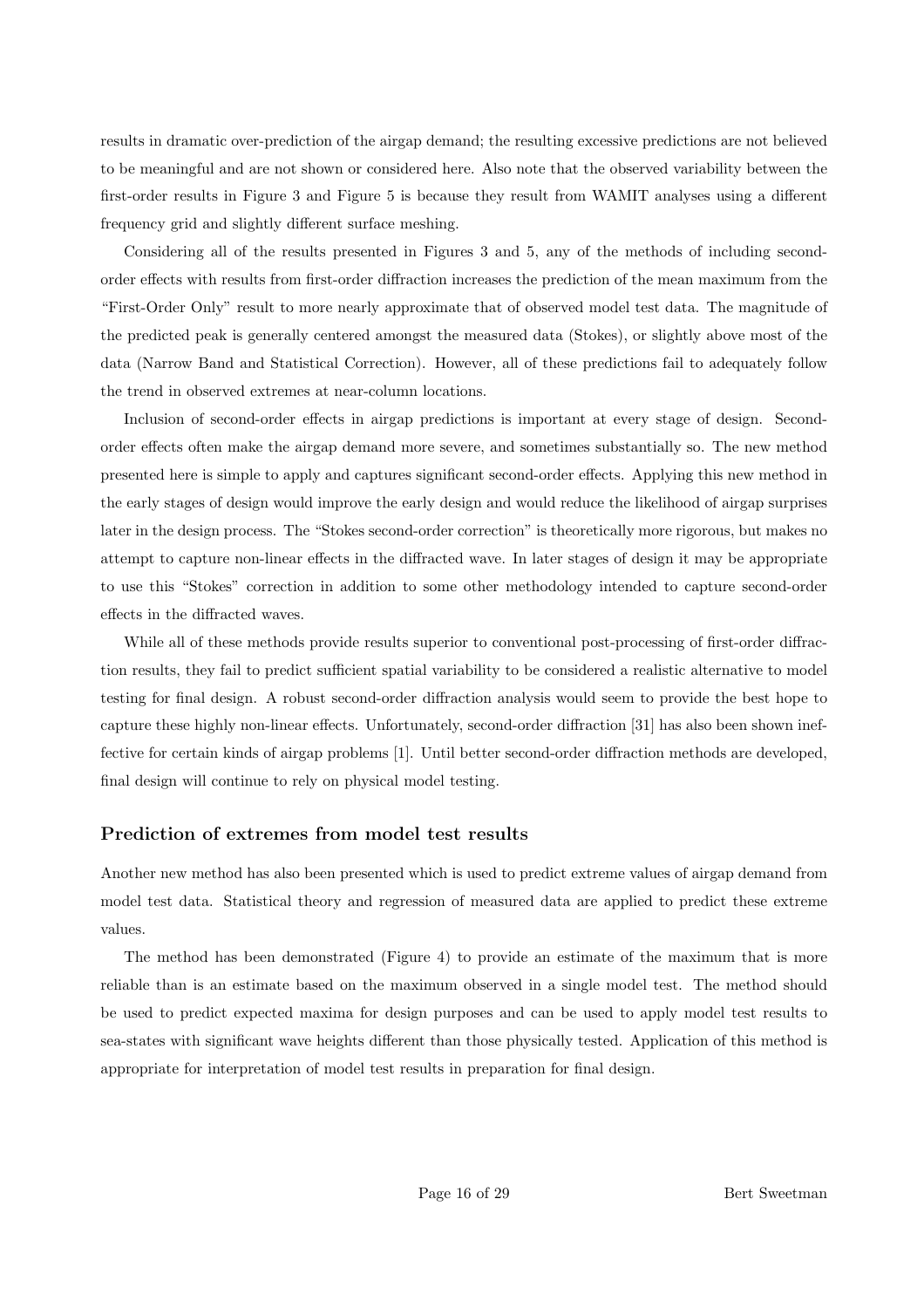results in dramatic over-prediction of the airgap demand; the resulting excessive predictions are not believed to be meaningful and are not shown or considered here. Also note that the observed variability between the first-order results in Figure 3 and Figure 5 is because they result from WAMIT analyses using a different frequency grid and slightly different surface meshing.

Considering all of the results presented in Figures 3 and 5, any of the methods of including secondorder effects with results from first-order diffraction increases the prediction of the mean maximum from the "First-Order Only" result to more nearly approximate that of observed model test data. The magnitude of the predicted peak is generally centered amongst the measured data (Stokes), or slightly above most of the data (Narrow Band and Statistical Correction). However, all of these predictions fail to adequately follow the trend in observed extremes at near-column locations.

Inclusion of second-order effects in airgap predictions is important at every stage of design. Secondorder effects often make the airgap demand more severe, and sometimes substantially so. The new method presented here is simple to apply and captures significant second-order effects. Applying this new method in the early stages of design would improve the early design and would reduce the likelihood of airgap surprises later in the design process. The "Stokes second-order correction" is theoretically more rigorous, but makes no attempt to capture non-linear effects in the diffracted wave. In later stages of design it may be appropriate to use this "Stokes" correction in addition to some other methodology intended to capture second-order effects in the diffracted waves.

While all of these methods provide results superior to conventional post-processing of first-order diffraction results, they fail to predict sufficient spatial variability to be considered a realistic alternative to model testing for final design. A robust second-order diffraction analysis would seem to provide the best hope to capture these highly non-linear effects. Unfortunately, second-order diffraction [31] has also been shown ineffective for certain kinds of airgap problems [1]. Until better second-order diffraction methods are developed, final design will continue to rely on physical model testing.

#### Prediction of extremes from model test results

Another new method has also been presented which is used to predict extreme values of airgap demand from model test data. Statistical theory and regression of measured data are applied to predict these extreme values.

The method has been demonstrated (Figure 4) to provide an estimate of the maximum that is more reliable than is an estimate based on the maximum observed in a single model test. The method should be used to predict expected maxima for design purposes and can be used to apply model test results to sea-states with significant wave heights different than those physically tested. Application of this method is appropriate for interpretation of model test results in preparation for final design.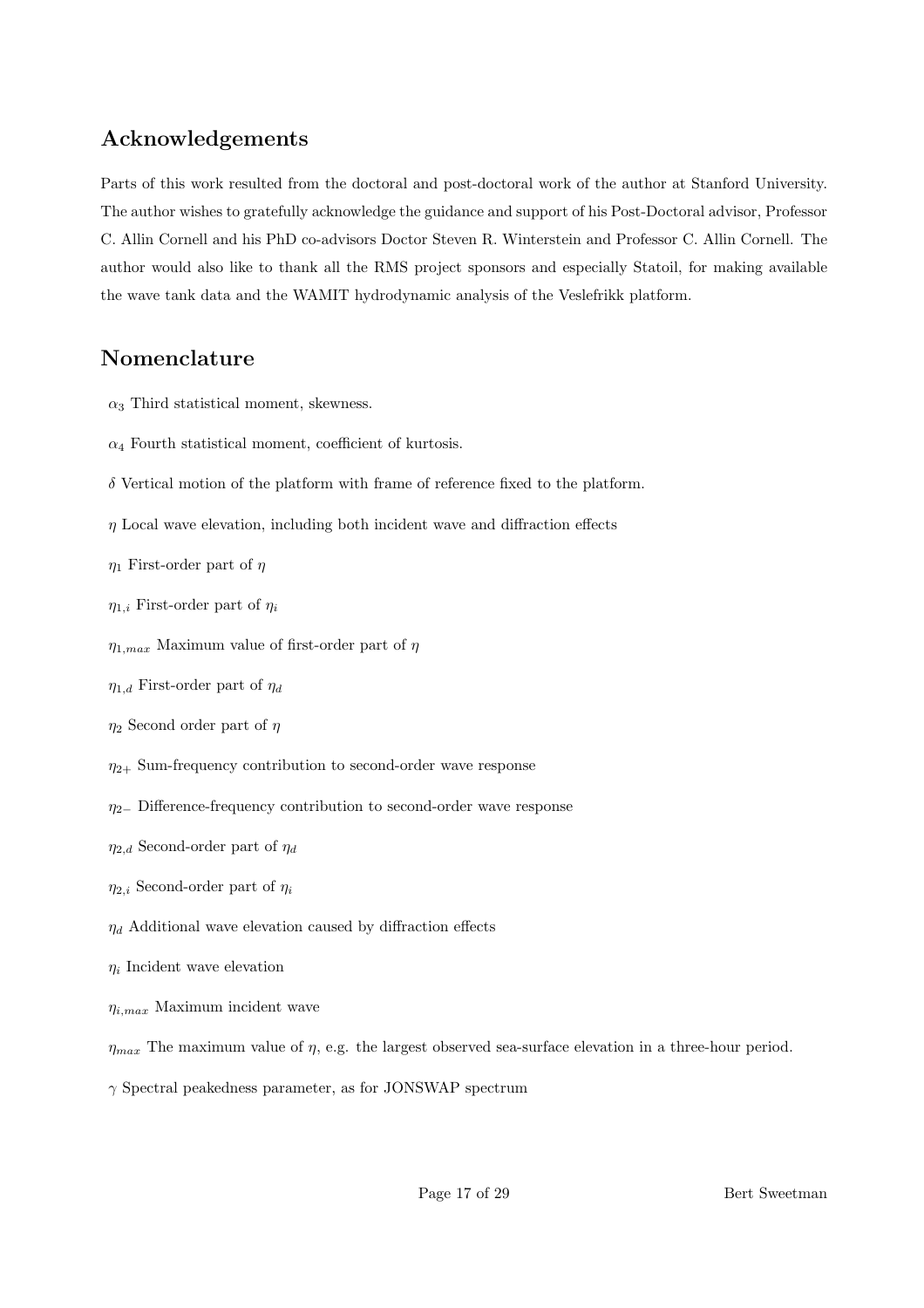# Acknowledgements

Parts of this work resulted from the doctoral and post-doctoral work of the author at Stanford University. The author wishes to gratefully acknowledge the guidance and support of his Post-Doctoral advisor, Professor C. Allin Cornell and his PhD co-advisors Doctor Steven R. Winterstein and Professor C. Allin Cornell. The author would also like to thank all the RMS project sponsors and especially Statoil, for making available the wave tank data and the WAMIT hydrodynamic analysis of the Veslefrikk platform.

# Nomenclature

- $\alpha_3$  Third statistical moment, skewness.
- $\alpha_4$  Fourth statistical moment, coefficient of kurtosis.
- $\delta$  Vertical motion of the platform with frame of reference fixed to the platform.
- $\eta$  Local wave elevation, including both incident wave and diffraction effects
- $\eta_1$  First-order part of  $\eta$
- $\eta_{1,i}$  First-order part of  $\eta_i$
- $\eta_{1,max}$  Maximum value of first-order part of  $\eta$
- $\eta_{1,d}$  First-order part of  $\eta_d$
- $\eta_2$  Second order part of  $\eta$
- $\eta_{2+}$  Sum-frequency contribution to second-order wave response
- $\eta_{2-}$  Difference-frequency contribution to second-order wave response
- $\eta_{2,d}$  Second-order part of  $\eta_d$
- $\eta_{2,i}$  Second-order part of  $\eta_i$
- $\eta_d$  Additional wave elevation caused by diffraction effects
- $\eta_i$  Incident wave elevation
- $\eta_{i,max}$  Maximum incident wave
- $\eta_{max}$  The maximum value of  $\eta$ , e.g. the largest observed sea-surface elevation in a three-hour period.
- $\gamma$  Spectral peakedness parameter, as for JONSWAP spectrum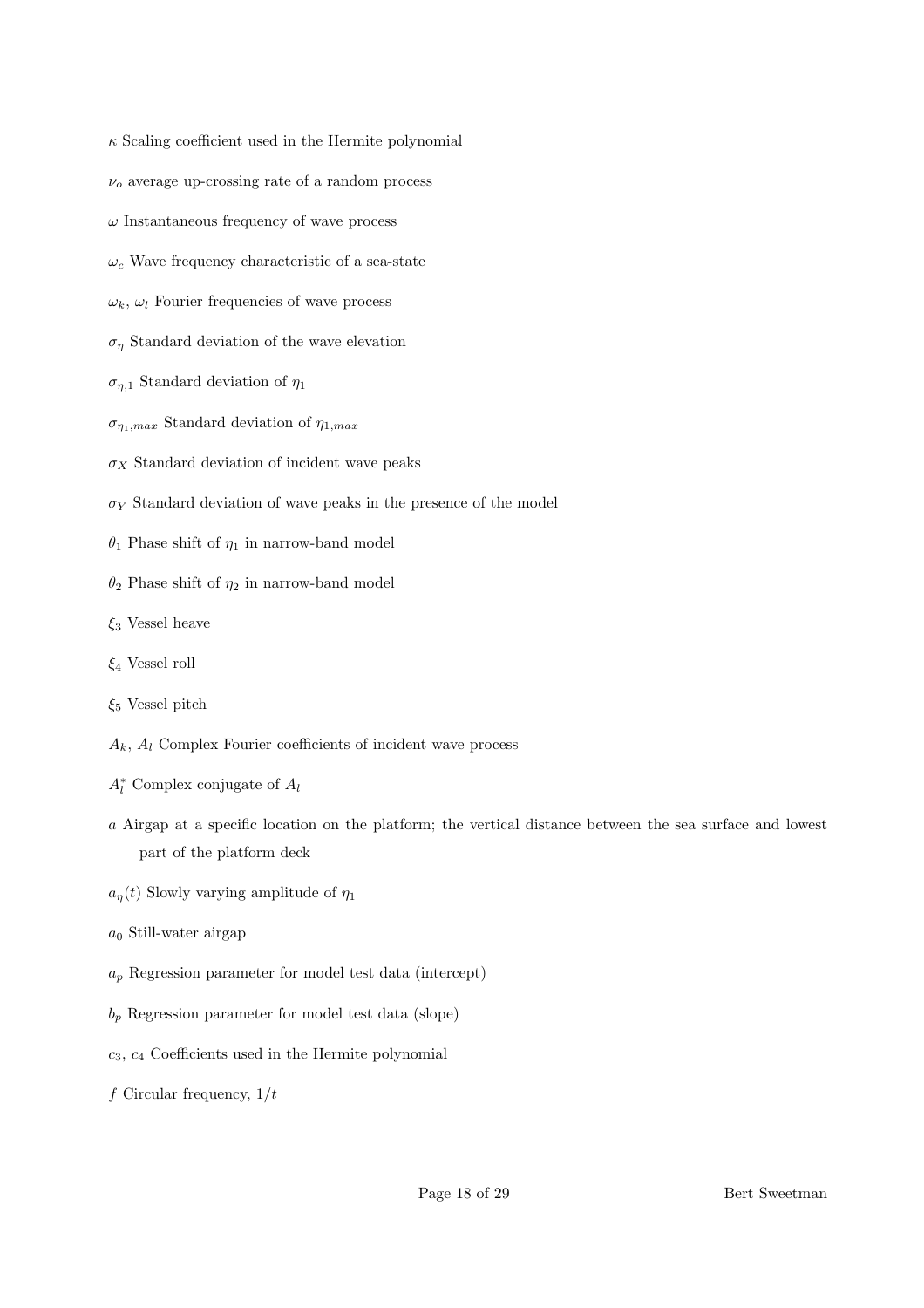- $\kappa$  Scaling coefficient used in the Hermite polynomial
- $\nu$ <sub>o</sub> average up-crossing rate of a random process
- $\omega$  Instantaneous frequency of wave process
- $\omega_c$  Wave frequency characteristic of a sea-state
- $\omega_k$ ,  $\omega_l$  Fourier frequencies of wave process
- $\sigma_n$  Standard deviation of the wave elevation
- $\sigma_{\eta,1}$  Standard deviation of  $\eta_1$
- $\sigma_{\eta_1, max}$  Standard deviation of  $\eta_{1,max}$
- $\sigma_X$  Standard deviation of incident wave peaks
- $\sigma_Y$  Standard deviation of wave peaks in the presence of the model
- $\theta_1$  Phase shift of  $\eta_1$  in narrow-band model
- $\theta_2$  Phase shift of  $\eta_2$  in narrow-band model
- $\xi_3$  Vessel heave
- ξ<sup>4</sup> Vessel roll
- $\xi_5$  Vessel pitch
- $A_k$ ,  $A_l$  Complex Fourier coefficients of incident wave process
- $A_l^*$  Complex conjugate of  $A_l$
- a Airgap at a specific location on the platform; the vertical distance between the sea surface and lowest part of the platform deck
- $a_n(t)$  Slowly varying amplitude of  $\eta_1$
- $a_0$  Still-water airgap
- $a_p$  Regression parameter for model test data (intercept)
- $b_p$  Regression parameter for model test data (slope)
- $c_3, c_4$  Coefficients used in the Hermite polynomial
- f Circular frequency,  $1/t$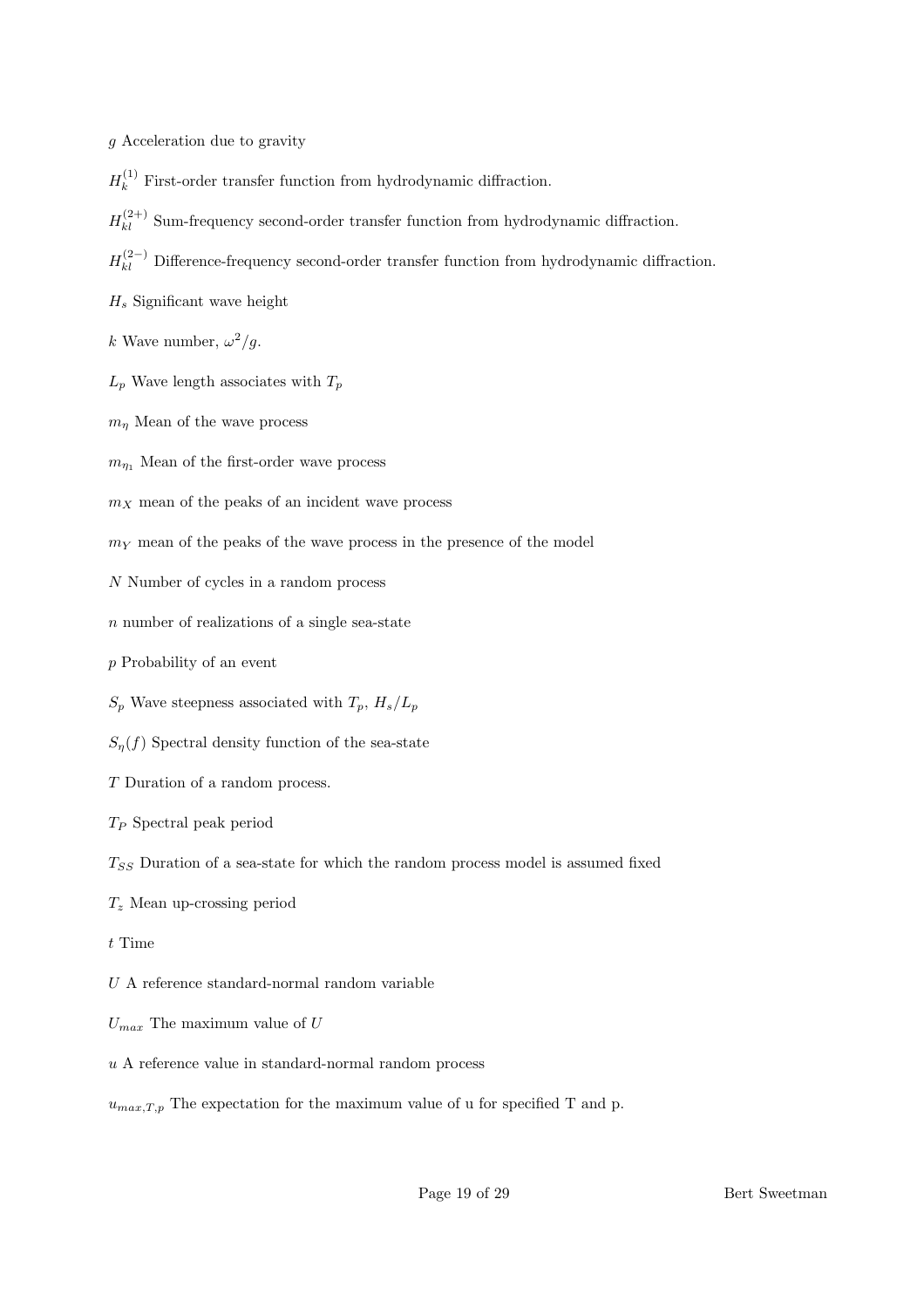g Acceleration due to gravity

 $H_k^{(1)}$  First-order transfer function from hydrodynamic diffraction.

 $H_{kl}^{(2+)}$  Sum-frequency second-order transfer function from hydrodynamic diffraction.

 $H_{kl}^{(2-)}$  Difference-frequency second-order transfer function from hydrodynamic diffraction.

 $H_s$  Significant wave height

k Wave number,  $\omega^2/g$ .

- $L_p$  Wave length associates with  $T_p$
- $m_n$  Mean of the wave process

 $m_{\eta_1}$  Mean of the first-order wave process

- $m<sub>X</sub>$  mean of the peaks of an incident wave process
- $m_Y$  mean of the peaks of the wave process in the presence of the model
- N Number of cycles in a random process
- n number of realizations of a single sea-state
- p Probability of an event

 $S_p$  Wave steepness associated with  $T_p$ ,  $H_s/L_p$ 

- $S_n(f)$  Spectral density function of the sea-state
- T Duration of a random process.
- $T_P$  Spectral peak period

 $T_{SS}$  Duration of a sea-state for which the random process model is assumed fixed

- $T_z$  Mean up-crossing period
- t Time
- $U$  A reference standard-normal random variable  $U$
- $U_{max}$  The maximum value of U
- u A reference value in standard-normal random process

 $u_{max,T,p}$  The expectation for the maximum value of u for specified T and p.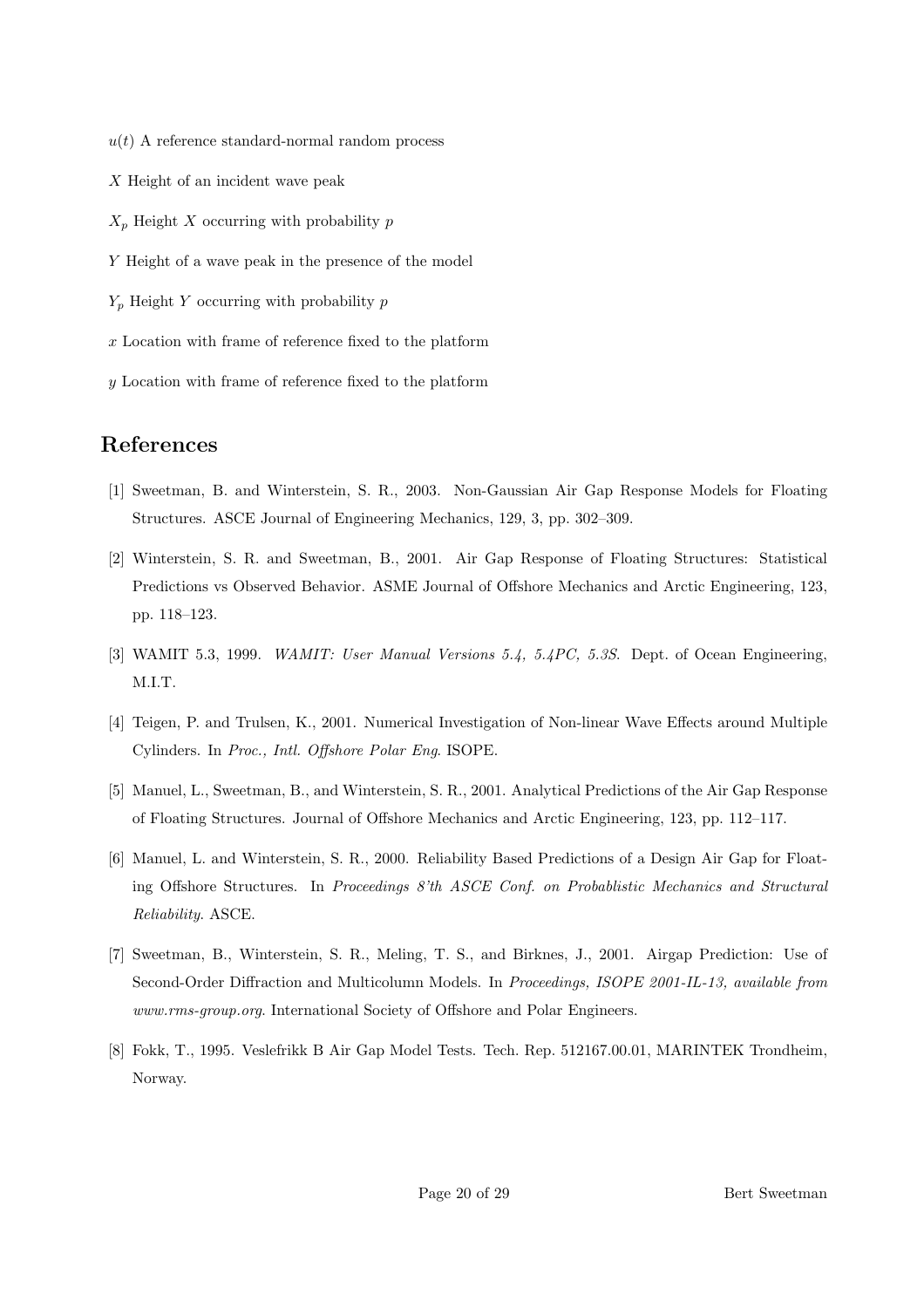- $u(t)$  A reference standard-normal random process
- X Height of an incident wave peak
- $X_p$  Height X occurring with probability p
- Y Height of a wave peak in the presence of the model
- $Y_p$  Height Y occurring with probability p
- x Location with frame of reference fixed to the platform
- y Location with frame of reference fixed to the platform

# References

- [1] Sweetman, B. and Winterstein, S. R., 2003. Non-Gaussian Air Gap Response Models for Floating Structures. ASCE Journal of Engineering Mechanics, 129, 3, pp. 302–309.
- [2] Winterstein, S. R. and Sweetman, B., 2001. Air Gap Response of Floating Structures: Statistical Predictions vs Observed Behavior. ASME Journal of Offshore Mechanics and Arctic Engineering, 123, pp. 118–123.
- [3] WAMIT 5.3, 1999. WAMIT: User Manual Versions 5.4, 5.4PC, 5.3S. Dept. of Ocean Engineering, M.I.T.
- [4] Teigen, P. and Trulsen, K., 2001. Numerical Investigation of Non-linear Wave Effects around Multiple Cylinders. In Proc., Intl. Offshore Polar Eng. ISOPE.
- [5] Manuel, L., Sweetman, B., and Winterstein, S. R., 2001. Analytical Predictions of the Air Gap Response of Floating Structures. Journal of Offshore Mechanics and Arctic Engineering, 123, pp. 112–117.
- [6] Manuel, L. and Winterstein, S. R., 2000. Reliability Based Predictions of a Design Air Gap for Floating Offshore Structures. In Proceedings 8'th ASCE Conf. on Probablistic Mechanics and Structural Reliability. ASCE.
- [7] Sweetman, B., Winterstein, S. R., Meling, T. S., and Birknes, J., 2001. Airgap Prediction: Use of Second-Order Diffraction and Multicolumn Models. In Proceedings, ISOPE 2001-IL-13, available from www.rms-group.org. International Society of Offshore and Polar Engineers.
- [8] Fokk, T., 1995. Veslefrikk B Air Gap Model Tests. Tech. Rep. 512167.00.01, MARINTEK Trondheim, Norway.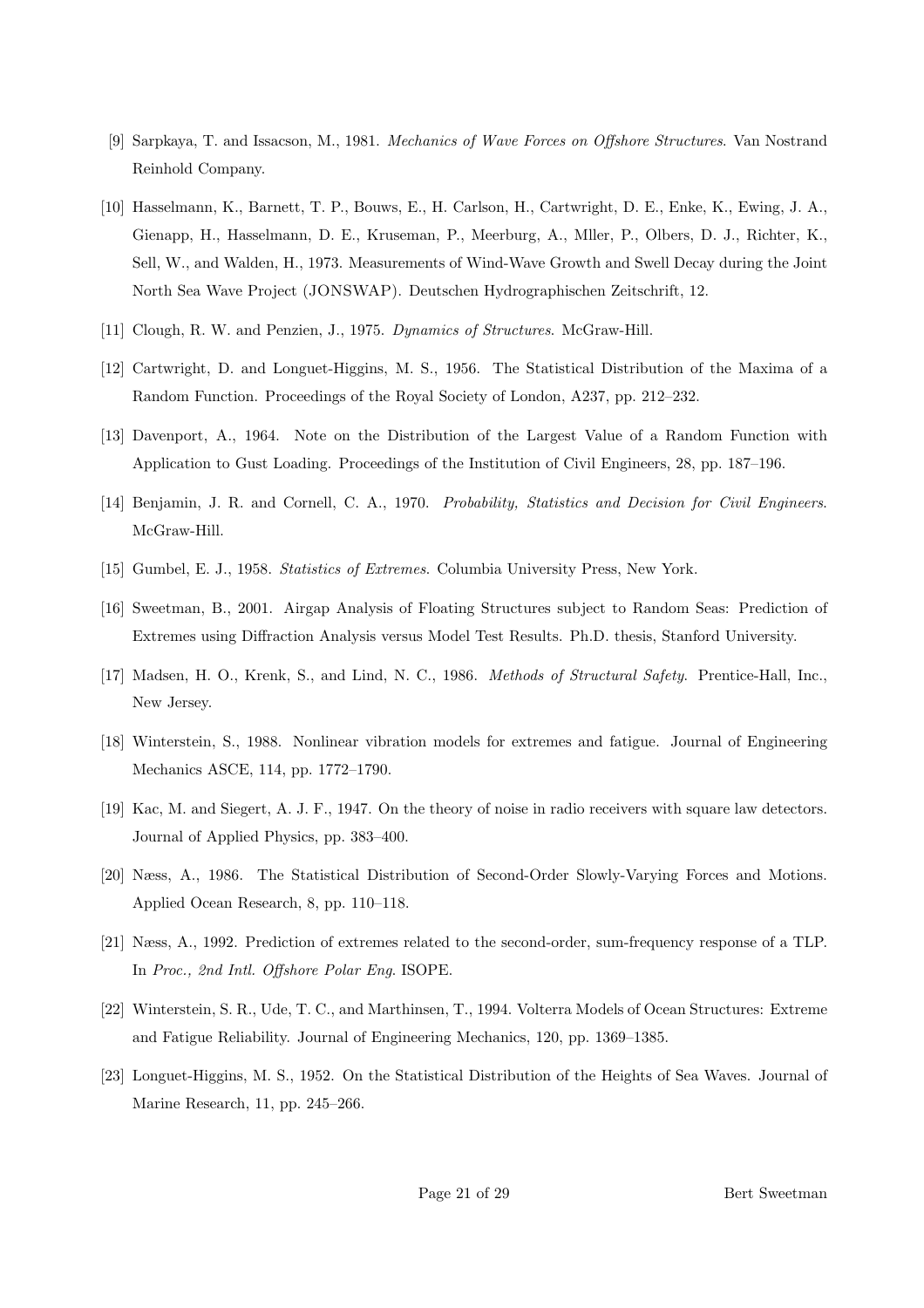- [9] Sarpkaya, T. and Issacson, M., 1981. Mechanics of Wave Forces on Offshore Structures. Van Nostrand Reinhold Company.
- [10] Hasselmann, K., Barnett, T. P., Bouws, E., H. Carlson, H., Cartwright, D. E., Enke, K., Ewing, J. A., Gienapp, H., Hasselmann, D. E., Kruseman, P., Meerburg, A., Mller, P., Olbers, D. J., Richter, K., Sell, W., and Walden, H., 1973. Measurements of Wind-Wave Growth and Swell Decay during the Joint North Sea Wave Project (JONSWAP). Deutschen Hydrographischen Zeitschrift, 12.
- [11] Clough, R. W. and Penzien, J., 1975. Dynamics of Structures. McGraw-Hill.
- [12] Cartwright, D. and Longuet-Higgins, M. S., 1956. The Statistical Distribution of the Maxima of a Random Function. Proceedings of the Royal Society of London, A237, pp. 212–232.
- [13] Davenport, A., 1964. Note on the Distribution of the Largest Value of a Random Function with Application to Gust Loading. Proceedings of the Institution of Civil Engineers, 28, pp. 187–196.
- [14] Benjamin, J. R. and Cornell, C. A., 1970. Probability, Statistics and Decision for Civil Engineers. McGraw-Hill.
- [15] Gumbel, E. J., 1958. Statistics of Extremes. Columbia University Press, New York.
- [16] Sweetman, B., 2001. Airgap Analysis of Floating Structures subject to Random Seas: Prediction of Extremes using Diffraction Analysis versus Model Test Results. Ph.D. thesis, Stanford University.
- [17] Madsen, H. O., Krenk, S., and Lind, N. C., 1986. Methods of Structural Safety. Prentice-Hall, Inc., New Jersey.
- [18] Winterstein, S., 1988. Nonlinear vibration models for extremes and fatigue. Journal of Engineering Mechanics ASCE, 114, pp. 1772–1790.
- [19] Kac, M. and Siegert, A. J. F., 1947. On the theory of noise in radio receivers with square law detectors. Journal of Applied Physics, pp. 383–400.
- [20] Næss, A., 1986. The Statistical Distribution of Second-Order Slowly-Varying Forces and Motions. Applied Ocean Research, 8, pp. 110–118.
- [21] Næss, A., 1992. Prediction of extremes related to the second-order, sum-frequency response of a TLP. In Proc., 2nd Intl. Offshore Polar Eng. ISOPE.
- [22] Winterstein, S. R., Ude, T. C., and Marthinsen, T., 1994. Volterra Models of Ocean Structures: Extreme and Fatigue Reliability. Journal of Engineering Mechanics, 120, pp. 1369–1385.
- [23] Longuet-Higgins, M. S., 1952. On the Statistical Distribution of the Heights of Sea Waves. Journal of Marine Research, 11, pp. 245–266.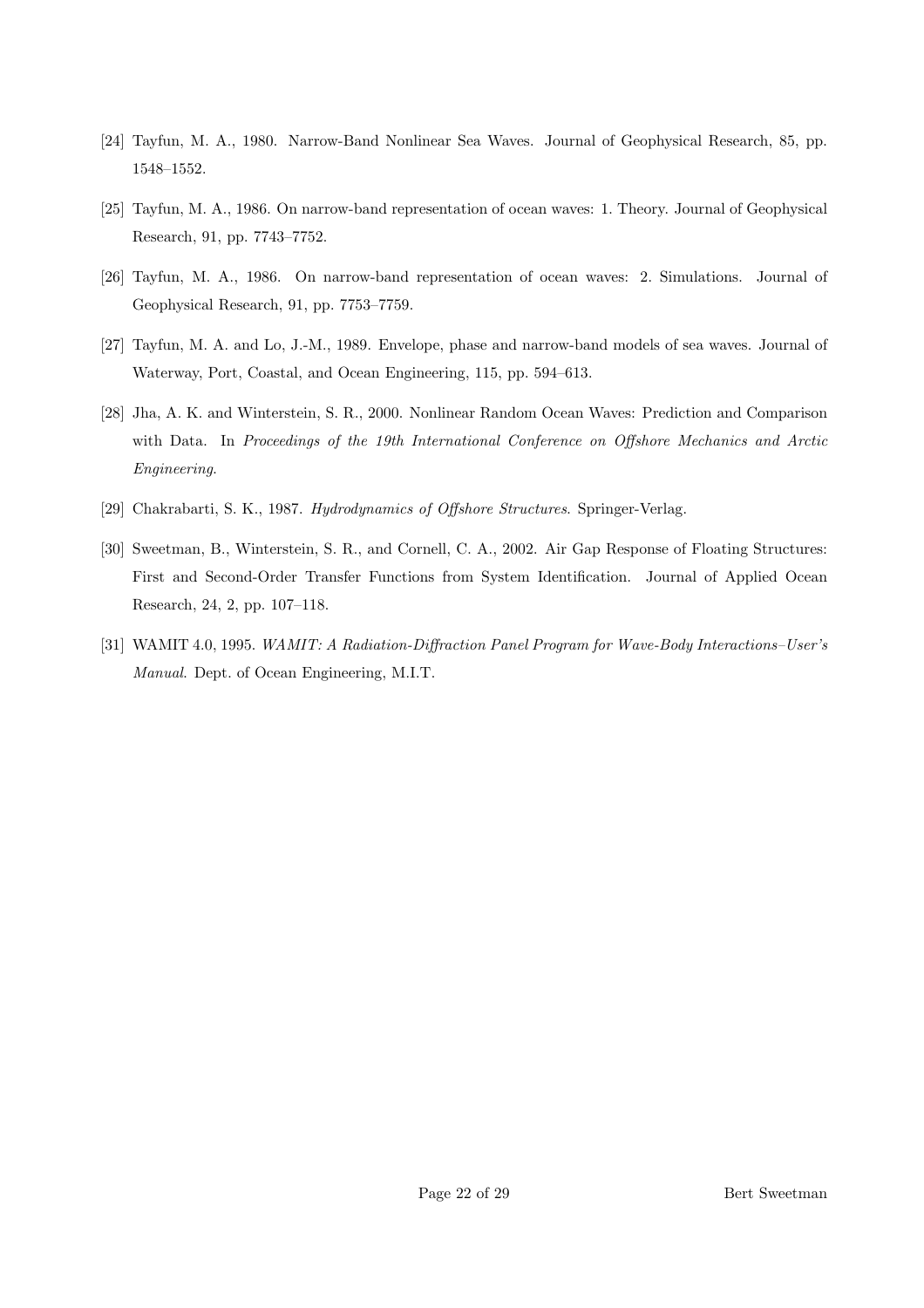- [24] Tayfun, M. A., 1980. Narrow-Band Nonlinear Sea Waves. Journal of Geophysical Research, 85, pp. 1548–1552.
- [25] Tayfun, M. A., 1986. On narrow-band representation of ocean waves: 1. Theory. Journal of Geophysical Research, 91, pp. 7743–7752.
- [26] Tayfun, M. A., 1986. On narrow-band representation of ocean waves: 2. Simulations. Journal of Geophysical Research, 91, pp. 7753–7759.
- [27] Tayfun, M. A. and Lo, J.-M., 1989. Envelope, phase and narrow-band models of sea waves. Journal of Waterway, Port, Coastal, and Ocean Engineering, 115, pp. 594–613.
- [28] Jha, A. K. and Winterstein, S. R., 2000. Nonlinear Random Ocean Waves: Prediction and Comparison with Data. In Proceedings of the 19th International Conference on Offshore Mechanics and Arctic Engineering.
- [29] Chakrabarti, S. K., 1987. Hydrodynamics of Offshore Structures. Springer-Verlag.
- [30] Sweetman, B., Winterstein, S. R., and Cornell, C. A., 2002. Air Gap Response of Floating Structures: First and Second-Order Transfer Functions from System Identification. Journal of Applied Ocean Research, 24, 2, pp. 107–118.
- [31] WAMIT 4.0, 1995. WAMIT: A Radiation-Diffraction Panel Program for Wave-Body Interactions–User's Manual. Dept. of Ocean Engineering, M.I.T.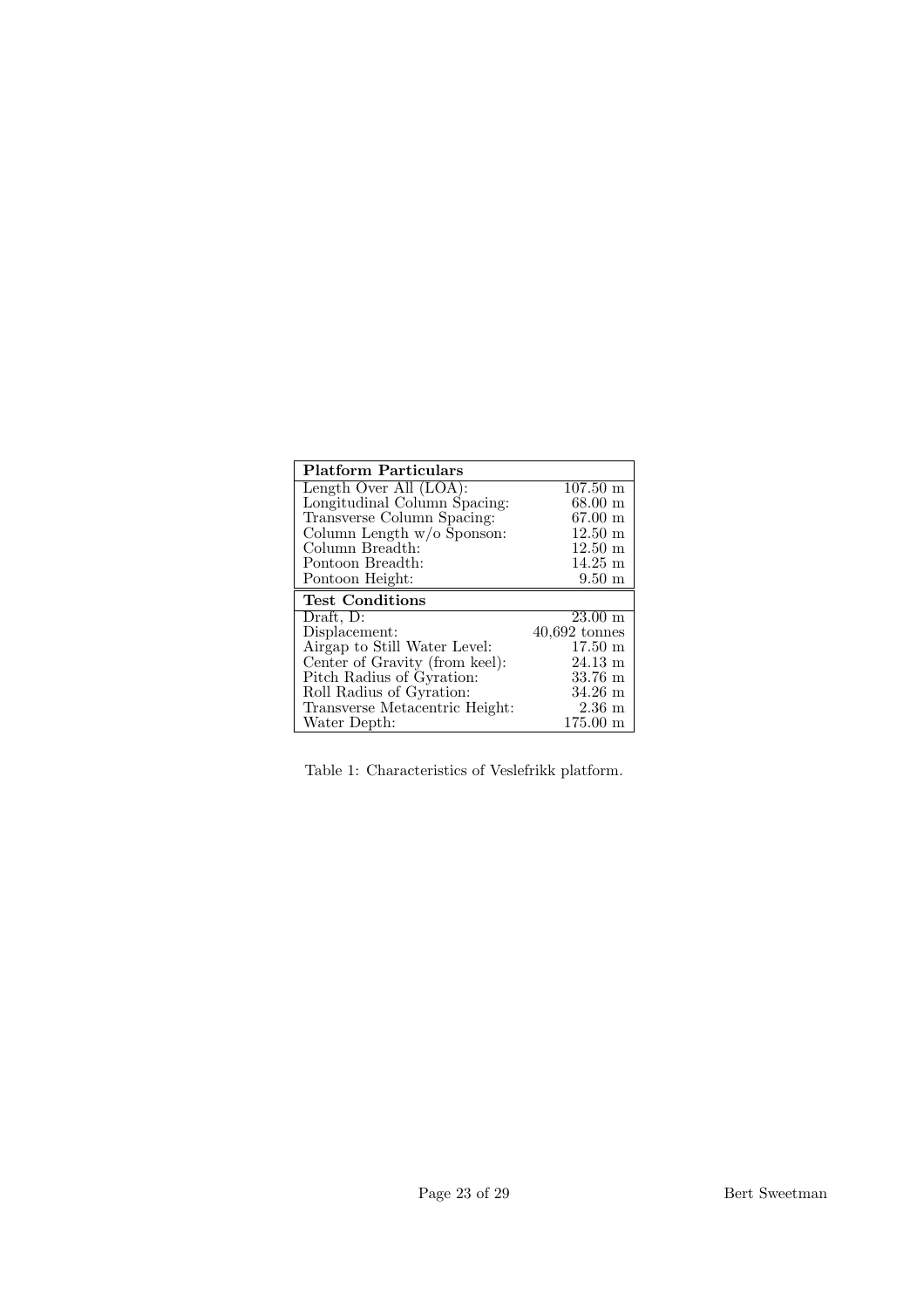| <b>Platform Particulars</b>                                 |                    |
|-------------------------------------------------------------|--------------------|
| Length Over All $(LOA)$ :                                   | $107.50 \text{ m}$ |
| Longitudinal Column Spacing:                                | $68.00 \;{\rm m}$  |
| Transverse Column Spacing:                                  | $67.00 \text{ m}$  |
| Column Length w/o Sponson:                                  | $12.50 \text{ m}$  |
| Column Breadth:                                             | $12.50 \text{ m}$  |
| Pontoon Breadth:                                            | $14.25 \text{ m}$  |
| Pontoon Height:                                             | $9.50 \text{ m}$   |
|                                                             |                    |
| <b>Test Conditions</b>                                      |                    |
| Draft, D:                                                   | $23.00 \text{ m}$  |
| Displacement:                                               | $40,692$ tonnes    |
| Airgap to Still Water Level:                                | $17.50 \text{ m}$  |
|                                                             | $24.13 \text{ m}$  |
| Center of Gravity (from keel):<br>Pitch Radius of Gyration: | 33.76 m            |
| Roll Radius of Gyration:                                    | $34.26 \;{\rm m}$  |
| Transverse Metacentric Height:                              | $2.36 \text{ m}$   |

Table 1: Characteristics of Veslefrikk platform.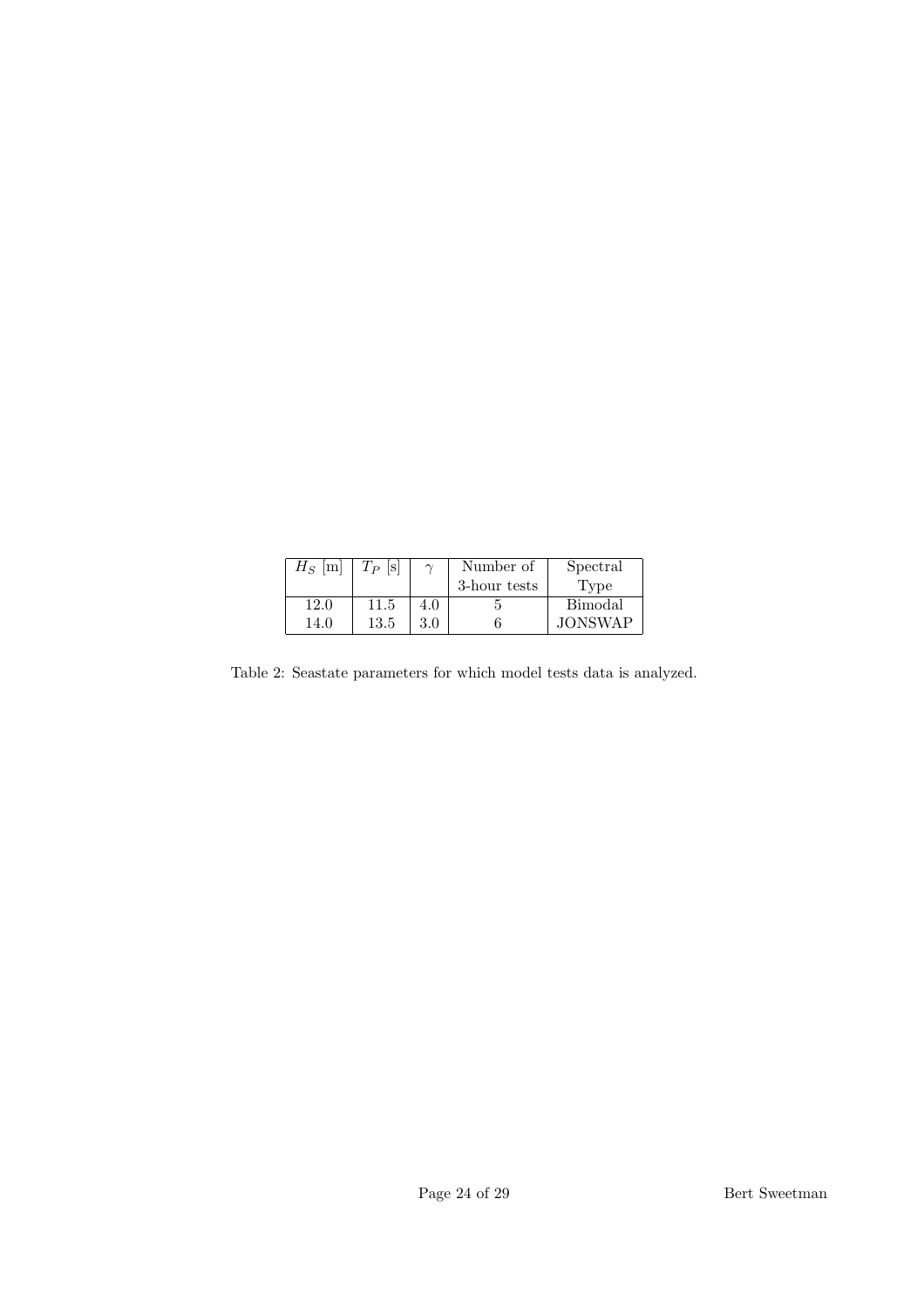| $H_S$  m | $T_P$  s |     | Number of    | Spectral       |
|----------|----------|-----|--------------|----------------|
|          |          |     | 3-hour tests | Type           |
| 12.0     | 11.5     | 4.0 |              | Bimodal        |
| 14.0     | 13.5     | 3.0 |              | <b>JONSWAP</b> |

Table 2: Seastate parameters for which model tests data is analyzed.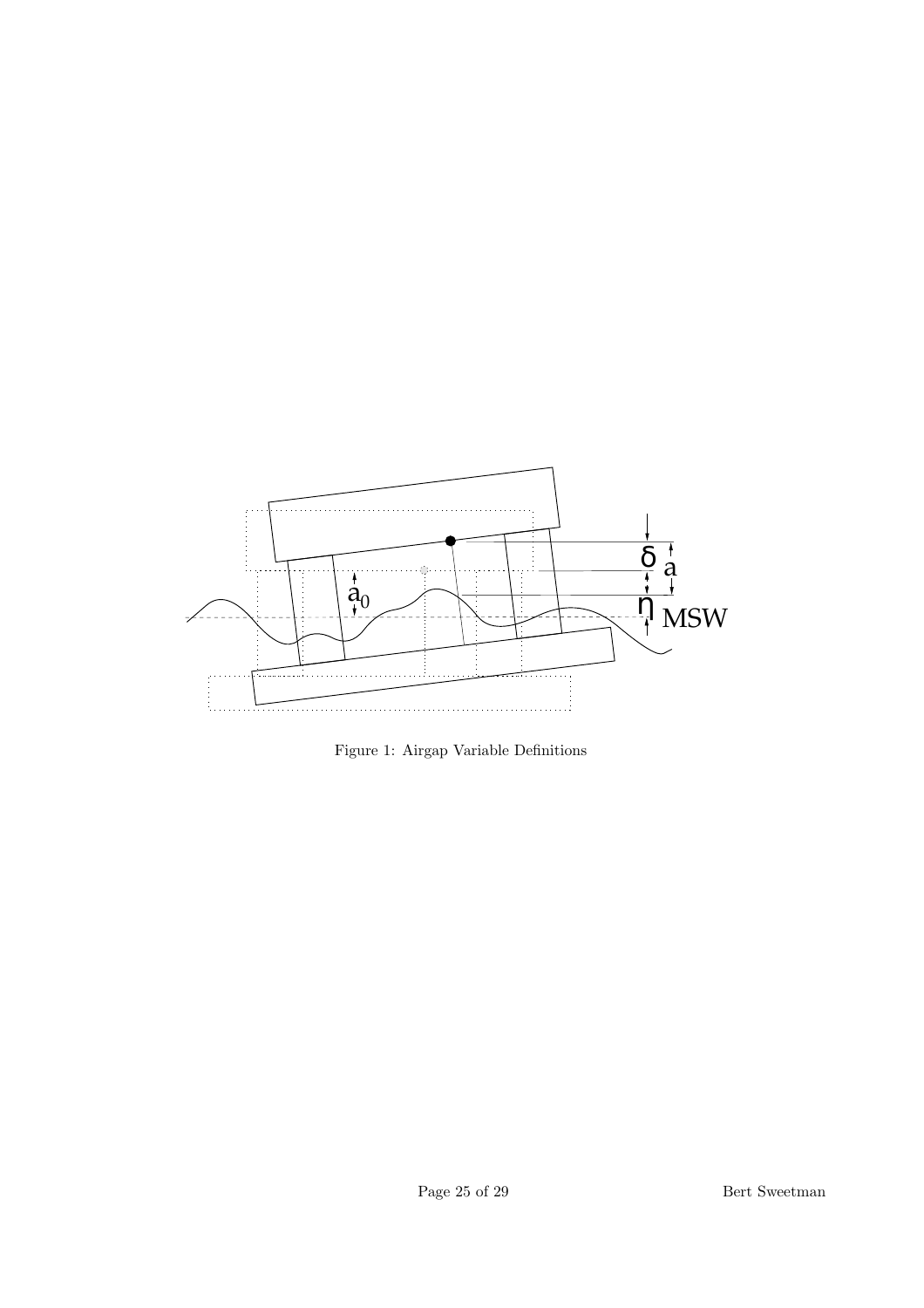

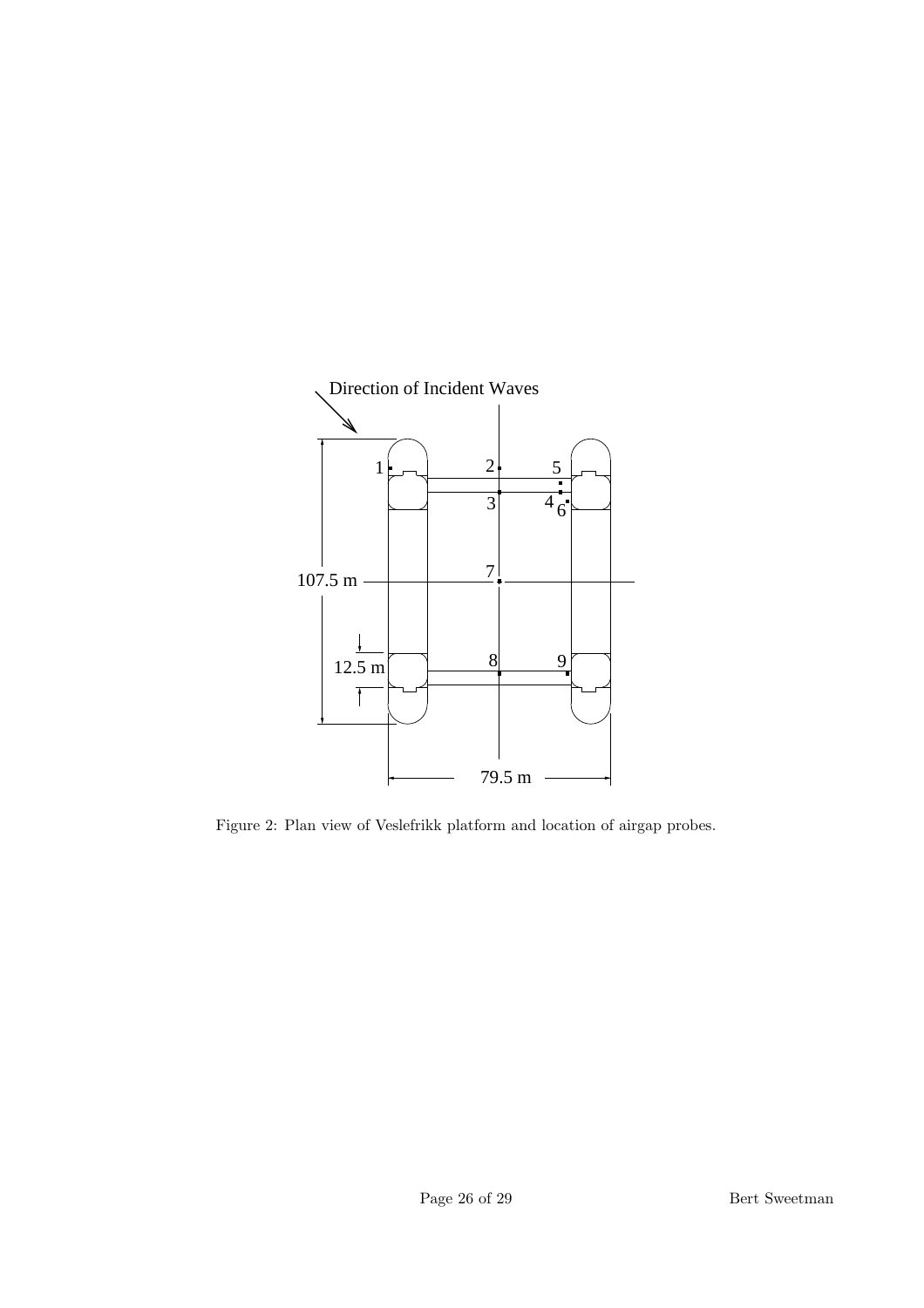

Figure 2: Plan view of Veslefrikk platform and location of airgap probes.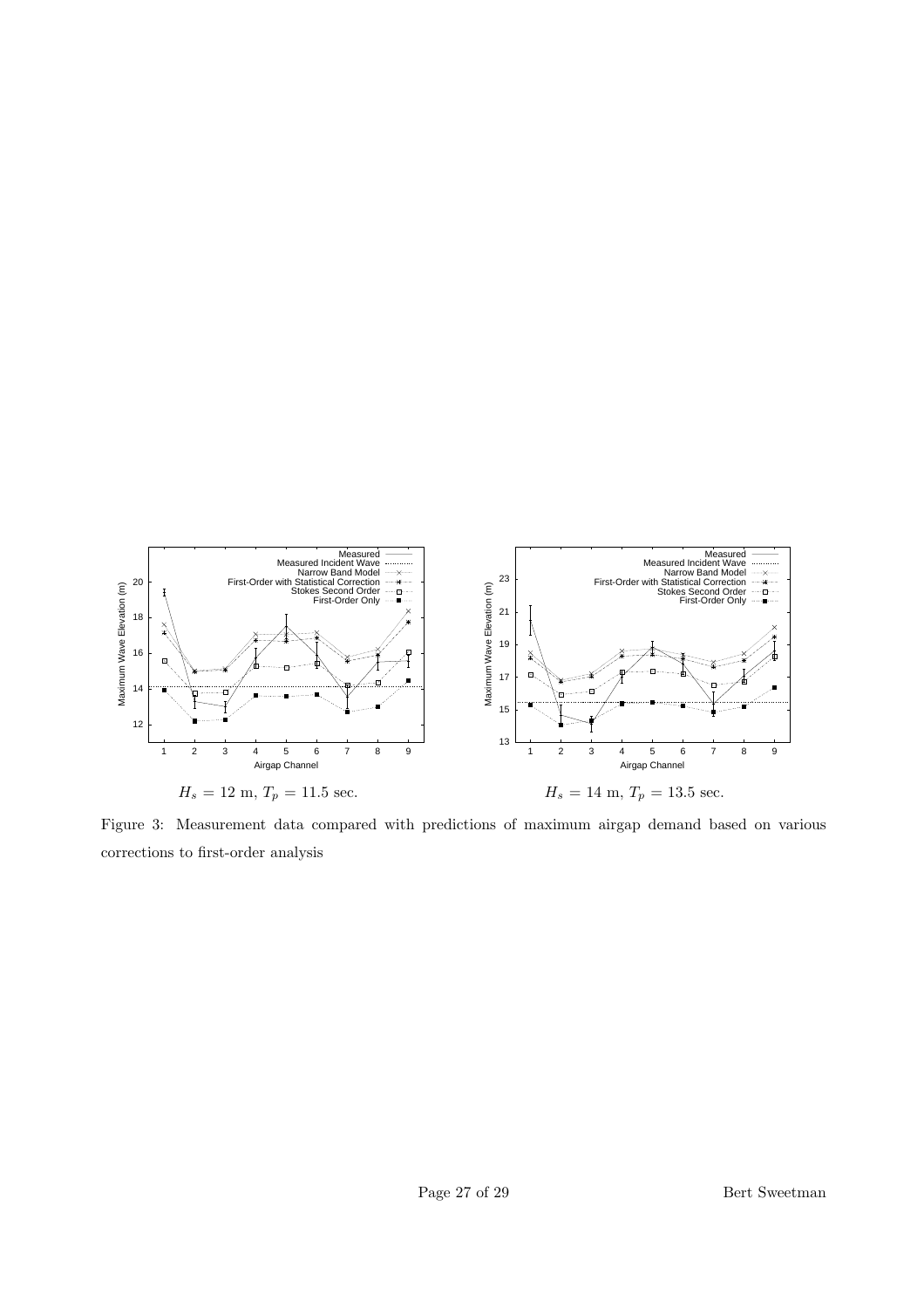

Figure 3: Measurement data compared with predictions of maximum airgap demand based on various corrections to first-order analysis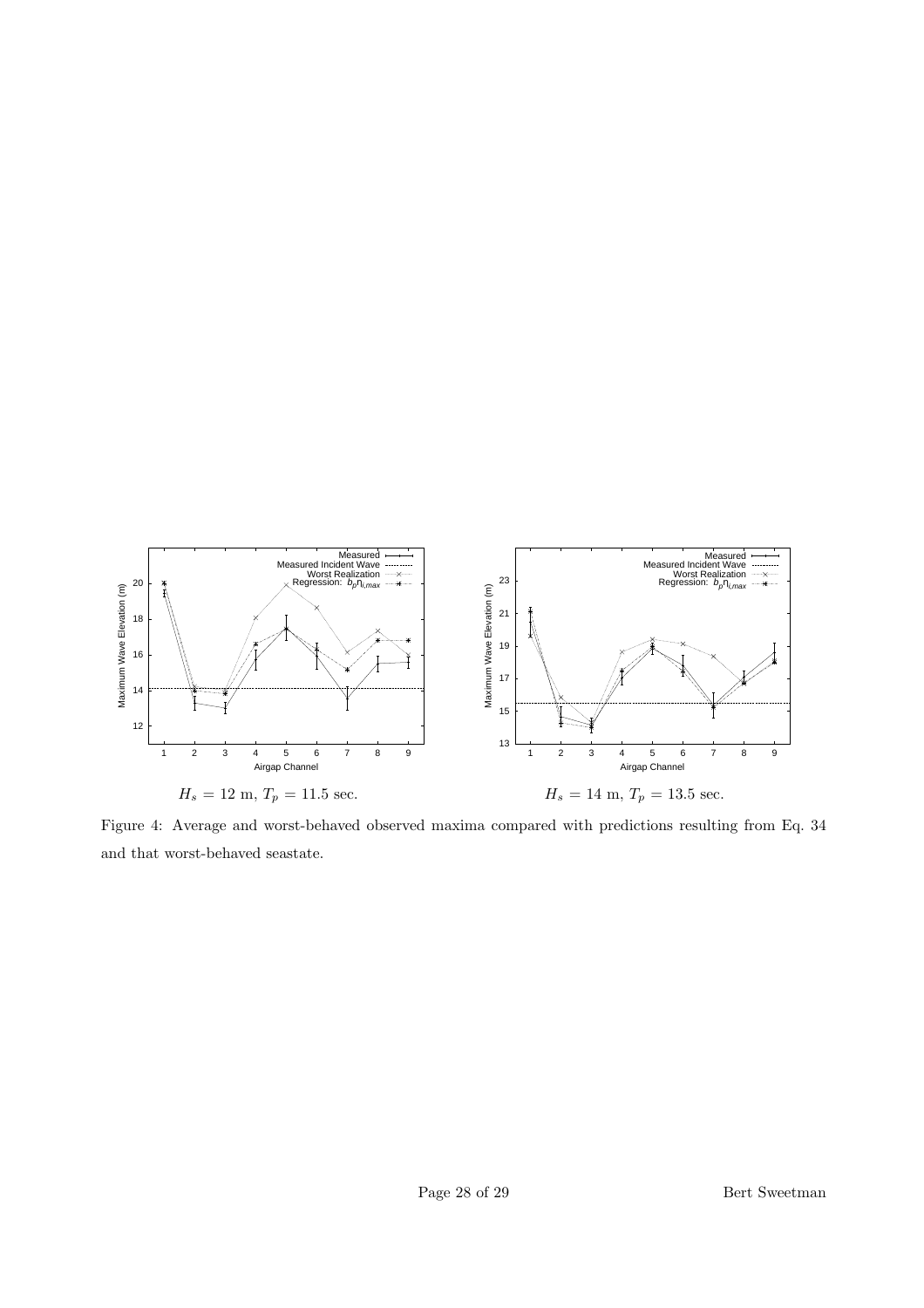

Figure 4: Average and worst-behaved observed maxima compared with predictions resulting from Eq. 34 and that worst-behaved seastate.